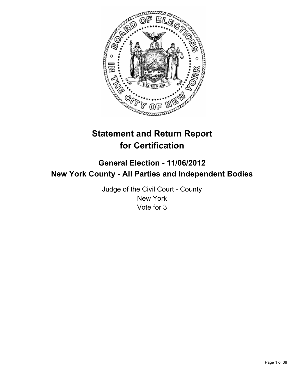

# **Statement and Return Report for Certification**

## **General Election - 11/06/2012 New York County - All Parties and Independent Bodies**

Judge of the Civil Court - County New York Vote for 3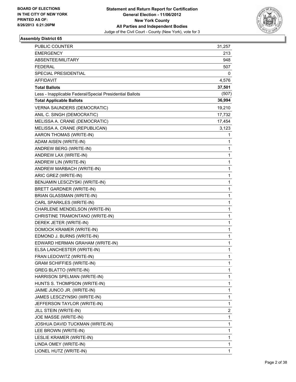

| <b>PUBLIC COUNTER</b>                                    | 31,257 |
|----------------------------------------------------------|--------|
| <b>EMERGENCY</b>                                         | 213    |
| ABSENTEE/MILITARY                                        | 948    |
| <b>FEDERAL</b>                                           | 507    |
| SPECIAL PRESIDENTIAL                                     | 0      |
| AFFIDAVIT                                                | 4,576  |
| <b>Total Ballots</b>                                     | 37,501 |
| Less - Inapplicable Federal/Special Presidential Ballots | (507)  |
| <b>Total Applicable Ballots</b>                          | 36,994 |
| <b>VERNA SAUNDERS (DEMOCRATIC)</b>                       | 19,210 |
| ANIL C. SINGH (DEMOCRATIC)                               | 17,732 |
| MELISSA A. CRANE (DEMOCRATIC)                            | 17,454 |
| MELISSA A. CRANE (REPUBLICAN)                            | 3,123  |
| AARON THOMAS (WRITE-IN)                                  | 1      |
| ADAM AISEN (WRITE-IN)                                    | 1      |
| ANDREW BERG (WRITE-IN)                                   | 1      |
| ANDREW LAX (WRITE-IN)                                    | 1      |
| ANDREW LIN (WRITE-IN)                                    | 1      |
| ANDREW MARBACH (WRITE-IN)                                | 1      |
| ARIC GREZ (WRITE-IN)                                     | 1      |
| BENJAMIN LESCZYSKI (WRITE-IN)                            | 1      |
| <b>BRETT GARDNER (WRITE-IN)</b>                          | 1      |
| BRIAN GLASSMAN (WRITE-IN)                                | 1      |
| CARL SPARKLES (WRITE-IN)                                 | 1      |
| CHARLENE MENDELSON (WRITE-IN)                            | 1      |
| CHRISTINE TRAMONTANO (WRITE-IN)                          | 1      |
| DEREK JETER (WRITE-IN)                                   | 1      |
| DOMOCK KRAMER (WRITE-IN)                                 | 1      |
| EDMOND J. BURNS (WRITE-IN)                               | 1      |
| EDWARD HERMAN GRAHAM (WRITE-IN)                          | 1      |
| ELSA LANCHESTER (WRITE-IN)                               | 1      |
| FRAN LEDOWITZ (WRITE-IN)                                 | 1      |
| <b>GRAM SCHIFFIES (WRITE-IN)</b>                         | 1      |
| <b>GREG BLATTO (WRITE-IN)</b>                            | 1      |
| HARRISON SPELMAN (WRITE-IN)                              | 1      |
| HUNTS S. THOMPSON (WRITE-IN)                             | 1      |
| JAIME JUNCO JR. (WRITE-IN)                               | 1      |
| JAMES LESCZYNSKI (WRITE-IN)                              | 1      |
| JEFFERSON TAYLOR (WRITE-IN)                              | 1      |
| JILL STEIN (WRITE-IN)                                    | 2      |
| JOE MASSE (WRITE-IN)                                     | 1      |
| JOSHUA DAVID TUCKMAN (WRITE-IN)                          | 1      |
| LEE BROWN (WRITE-IN)                                     | 1      |
| LESLIE KRAMER (WRITE-IN)                                 | 1      |
| LINDA OMEY (WRITE-IN)                                    | 1      |
| LIONEL HUTZ (WRITE-IN)                                   | 1      |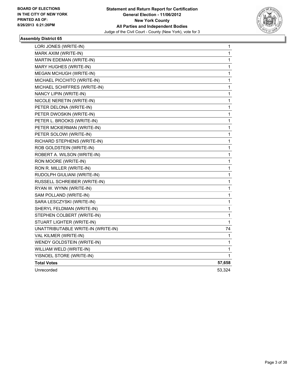

| LORI JONES (WRITE-IN)              | 1           |
|------------------------------------|-------------|
| MARK AXIM (WRITE-IN)               | 1           |
| MARTIN EDEMAN (WRITE-IN)           | 1           |
| MARY HUGHES (WRITE-IN)             | 1           |
| <b>MEGAN MCHUGH (WRITE-IN)</b>     | 1           |
| MICHAEL PICCHITO (WRITE-IN)        | 1           |
| MICHAEL SCHIFFRES (WRITE-IN)       | 1           |
| NANCY LIPIN (WRITE-IN)             | 1           |
| NICOLE NERETIN (WRITE-IN)          | 1           |
| PETER DELONA (WRITE-IN)            | 1           |
| PETER DWOSKIN (WRITE-IN)           | 1           |
| PETER L. BROOKS (WRITE-IN)         | 1           |
| PETER MCKIERMAN (WRITE-IN)         | 1           |
| PETER SOLOWI (WRITE-IN)            | $\mathbf 1$ |
| RICHARD STEPHENS (WRITE-IN)        | 1           |
| ROB GOLDSTEIN (WRITE-IN)           | 1           |
| ROBERT A. WILSON (WRITE-IN)        | 1           |
| RON MOORE (WRITE-IN)               | 1           |
| RON R. MILLER (WRITE-IN)           | 1           |
| RUDOLPH GIULIANI (WRITE-IN)        | 1           |
| RUSSELL SCHREIBER (WRITE-IN)       | 1           |
| RYAN W. WYNN (WRITE-IN)            | 1           |
| SAM POLLAND (WRITE-IN)             | 1           |
| SARA LESCZYSKI (WRITE-IN)          | 1           |
| SHERYL FELDMAN (WRITE-IN)          | $\mathbf 1$ |
| STEPHEN COLBERT (WRITE-IN)         | 1           |
| STUART LIGHTER (WRITE-IN)          | 1           |
| UNATTRIBUTABLE WRITE-IN (WRITE-IN) | 74          |
| VAL KILMER (WRITE-IN)              | 1           |
| WENDY GOLDSTEIN (WRITE-IN)         | 1           |
| WILLIAM WELD (WRITE-IN)            | 1           |
| YISNOEL STORE (WRITE-IN)           | 1           |
| <b>Total Votes</b>                 | 57,658      |
| Unrecorded                         | 53,324      |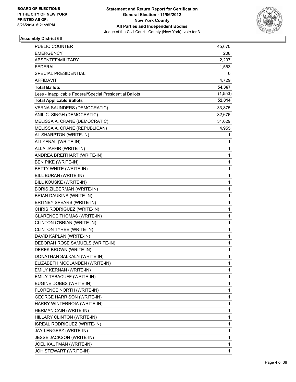

| <b>PUBLIC COUNTER</b>                                    | 45,670   |
|----------------------------------------------------------|----------|
| <b>EMERGENCY</b>                                         | 208      |
| ABSENTEE/MILITARY                                        | 2,207    |
| <b>FEDERAL</b>                                           | 1,553    |
| SPECIAL PRESIDENTIAL                                     | 0        |
| <b>AFFIDAVIT</b>                                         | 4,729    |
| <b>Total Ballots</b>                                     | 54,367   |
| Less - Inapplicable Federal/Special Presidential Ballots | (1, 553) |
| <b>Total Applicable Ballots</b>                          | 52,814   |
| <b>VERNA SAUNDERS (DEMOCRATIC)</b>                       | 33,875   |
| ANIL C. SINGH (DEMOCRATIC)                               | 32,676   |
| MELISSA A. CRANE (DEMOCRATIC)                            | 31,629   |
| MELISSA A. CRANE (REPUBLICAN)                            | 4,955    |
| AL SHARPTON (WRITE-IN)                                   | 1        |
| ALI YENAL (WRITE-IN)                                     | 1        |
| ALLA JAFFIR (WRITE-IN)                                   | 1        |
| ANDREA BREITHART (WRITE-IN)                              | 1        |
| BEN PIKE (WRITE-IN)                                      | 1        |
| BETTY WHITE (WRITE-IN)                                   | 1        |
| BILL BURAN (WRITE-IN)                                    | 1        |
| BILL KOUSKE (WRITE-IN)                                   | 1        |
| BORIS ZILBERMAN (WRITE-IN)                               | 1        |
| <b>BRIAN DAUKINS (WRITE-IN)</b>                          | 1        |
| BRITNEY SPEARS (WRITE-IN)                                | 1        |
| CHRIS RODRIGUEZ (WRITE-IN)                               | 1        |
| CLARENCE THOMAS (WRITE-IN)                               | 1        |
| CLINTON O'BRIAN (WRITE-IN)                               | 1        |
| CLINTON TYREE (WRITE-IN)                                 | 1        |
| DAVID KAPLAN (WRITE-IN)                                  | 1        |
| DEBORAH ROSE SAMUELS (WRITE-IN)                          | 1        |
| DEREK BROWN (WRITE-IN)                                   | 1        |
| DONATHAN SALKALN (WRITE-IN)                              | 1        |
| ELIZABETH MCCLANDEN (WRITE-IN)                           | 1        |
| EMILY KERNAN (WRITE-IN)                                  | 1        |
| EMILY TABACUFF (WRITE-IN)                                | 1        |
| EUGINE DOBBS (WRITE-IN)                                  | 1        |
| FLORENCE NORTH (WRITE-IN)                                | 1        |
| <b>GEORGE HARRISON (WRITE-IN)</b>                        | 1        |
| HARRY WINTERROIA (WRITE-IN)                              | 1        |
| HERMAN CAIN (WRITE-IN)                                   | 1        |
| HILLARY CLINTON (WRITE-IN)                               | 1        |
| ISREAL RODRIGUEZ (WRITE-IN)                              | 1        |
| JAY LENGESZ (WRITE-IN)                                   | 1        |
| JESSE JACKSON (WRITE-IN)                                 | 1        |
| JOEL KAUFMAN (WRITE-IN)                                  | 1        |
| JOH STEWART (WRITE-IN)                                   | 1        |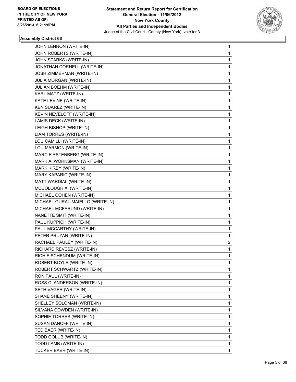

| JOHN LENNON (WRITE-IN)           | 1 |
|----------------------------------|---|
| JOHN ROBERTS (WRITE-IN)          | 1 |
| JOHN STARKS (WRITE-IN)           | 1 |
| JONATHAN CORNELL (WRITE-IN)      | 1 |
| JOSH ZIMMERMAN (WRITE-IN)        | 1 |
| JULIA MORGAN (WRITE-IN)          | 1 |
| JULIAN BOEHM (WRITE-IN)          | 1 |
| KARL MATZ (WRITE-IN)             | 1 |
| KATE LEVINE (WRITE-IN)           | 1 |
| KEN SUAREZ (WRITE-IN)            | 1 |
| KEVIN NEVELOFF (WRITE-IN)        | 1 |
| LAMIS DECK (WRITE-IN)            | 1 |
| LEIGH BISHOP (WRITE-IN)          | 1 |
| LIAM TORRES (WRITE-IN)           | 1 |
| LOU CAMILLI (WRITE-IN)           | 1 |
| LOU MARMON (WRITE-IN)            | 1 |
| MARC FIRSTENBERG (WRITE-IN)      | 1 |
| MARK A. WORKSMAN (WRITE-IN)      | 1 |
| MARK KIRBY (WRITE-IN)            | 1 |
| MARY KAPARIC (WRITE-IN)          | 1 |
| MATT WARDIAL (WRITE-IN)          | 1 |
| MCCOLOUGH XI (WRITE-IN)          | 1 |
| MICHAEL COHEN (WRITE-IN)         | 1 |
| MICHAEL GURAL-MAIELLO (WRITE-IN) | 1 |
| MICHAEL MCFARUND (WRITE-IN)      | 1 |
| NANETTE SMIT (WRITE-IN)          | 1 |
| PAUL KUPPICH (WRITE-IN)          | 1 |
| PAUL MCCARTHY (WRITE-IN)         | 1 |
| PETER PRUZAN (WRITE-IN)          | 1 |
| RACHAEL PAULEY (WRITE-IN)        | 2 |
| RICHARD REVESZ (WRITE-IN)        | 1 |
| RICHIE SCHENDUM (WRITE-IN)       | 1 |
| ROBERT BOYLE (WRITE-IN)          | 1 |
| ROBERT SCHWARTZ (WRITE-IN)       | 1 |
| RON PAUL (WRITE-IN)              | 1 |
| ROSS C. ANDERSON (WRITE-IN)      | 1 |
| SETH VAGER (WRITE-IN)            | 1 |
| SHANE SHEENY (WRITE-IN)          | 1 |
| SHELLEY SOLOMAN (WRITE-IN)       | 1 |
| SILVANA COWDEN (WRITE-IN)        | 1 |
| SOPHIE TORRES (WRITE-IN)         | 1 |
| SUSAN DANOFF (WRITE-IN)          | 1 |
| TED BAER (WRITE-IN)              | 1 |
| TODD GOLUB (WRITE-IN)            | 1 |
| TODD LAMB (WRITE-IN)             | 1 |
| TUCKER BAER (WRITE-IN)           | 1 |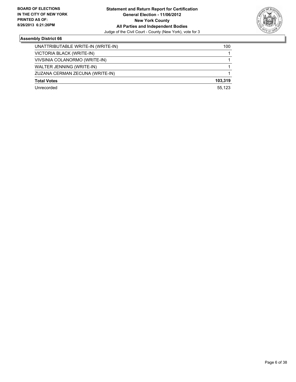

| UNATTRIBUTABLE WRITE-IN (WRITE-IN) | 100     |
|------------------------------------|---------|
| VICTORIA BLACK (WRITE-IN)          |         |
| VIVSINIA COLANORMO (WRITE-IN)      |         |
| WALTER JENNING (WRITE-IN)          |         |
| ZUZANA CERMAN ZECUNA (WRITE-IN)    |         |
| <b>Total Votes</b>                 | 103.319 |
| Unrecorded                         | 55.123  |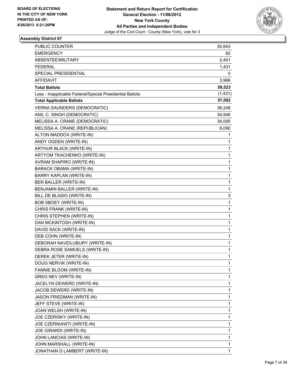

| <b>PUBLIC COUNTER</b>                                    | 50,643   |
|----------------------------------------------------------|----------|
| <b>EMERGENCY</b>                                         | 82       |
| ABSENTEE/MILITARY                                        | 2,401    |
| <b>FEDERAL</b>                                           | 1,431    |
| SPECIAL PRESIDENTIAL                                     | 0        |
| AFFIDAVIT                                                | 3,966    |
| <b>Total Ballots</b>                                     | 58,523   |
| Less - Inapplicable Federal/Special Presidential Ballots | (1, 431) |
| <b>Total Applicable Ballots</b>                          | 57,092   |
| <b>VERNA SAUNDERS (DEMOCRATIC)</b>                       | 36,248   |
| ANIL C. SINGH (DEMOCRATIC)                               | 34,946   |
| MELISSA A. CRANE (DEMOCRATIC)                            | 34,000   |
| MELISSA A. CRANE (REPUBLICAN)                            | 6,090    |
| ALTON MADDOX (WRITE-IN)                                  | 1        |
| ANDY OGDEN (WRITE-IN)                                    | 1        |
| ARTHUR BLACK (WRITE-IN)                                  | 1        |
| ARTYOM TKACHENKO (WRITE-IN)                              | 1        |
| AVRAM SHAPIRO (WRITE-IN)                                 | 1        |
| BARACK OBAMA (WRITE-IN)                                  | 1        |
| BARRY KAPLAN (WRITE-IN)                                  | 1        |
| <b>BEN BALLER (WRITE-IN)</b>                             | 1        |
| BENJAMIN BALLER (WRITE-IN)                               | 1        |
| BILL DE BLASIO (WRITE-IN)                                | 3        |
| <b>BOB SBOEY (WRITE-IN)</b>                              | 1        |
| CHRIS FRANK (WRITE-IN)                                   | 1        |
| CHRIS STEPHEN (WRITE-IN)                                 | 1        |
| DAN MCKINTOSH (WRITE-IN)                                 | 1        |
| DAVID SACK (WRITE-IN)                                    | 1        |
| DEB COHN (WRITE-IN)                                      | 1        |
| DEBORAH NAVEILUBURY (WRITE-IN)                           | 1        |
| DEBRA ROSE SAMUELS (WRITE-IN)                            | 1        |
| DEREK JETER (WRITE-IN)                                   | 1        |
| DOUG NERVIK (WRITE-IN)                                   | 1        |
| FANNIE BLOOM (WRITE-IN)                                  | 1        |
| <b>GREG NEV (WRITE-IN)</b>                               | 1        |
| JACELYN DEWERD (WRITE-IN)                                | 1        |
| JACOB DEWERD (WRITE-IN)                                  | 1        |
| JASON FRIEDMAN (WRITE-IN)                                | 1        |
| JEFF STEVE (WRITE-IN)                                    | 1        |
| JOAN WELSH (WRITE-IN)                                    | 1        |
| JOE CZERISKY (WRITE-IN)                                  | 1        |
| JOE CZERNIAWTI (WRITE-IN)                                | 1        |
| JOE GIRARDI (WRITE-IN)                                   | 1        |
| JOHN LANCIAS (WRITE-IN)                                  | 1        |
| JOHN MARSHALL (WRITE-IN)                                 | 1        |
| JONATHAN D LAMBERT (WRITE-IN)                            | 1        |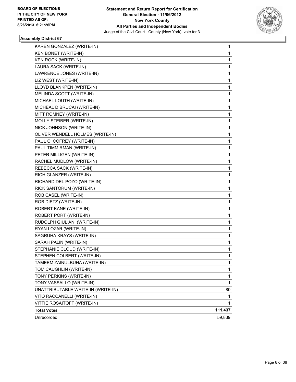

| KAREN GONZALEZ (WRITE-IN)          | 1       |
|------------------------------------|---------|
| KEN BONET (WRITE-IN)               | 1       |
| <b>KEN ROCK (WRITE-IN)</b>         | 1       |
| LAURA SACK (WRITE-IN)              | 1       |
| LAWRENCE JONES (WRITE-IN)          | 1       |
| LIZ WEST (WRITE-IN)                | 1       |
| LLOYD BLANKPEN (WRITE-IN)          | 1       |
| MELINDA SCOTT (WRITE-IN)           | 1       |
| MICHAEL LOUTH (WRITE-IN)           | 1       |
| MICHEAL D BRUCAI (WRITE-IN)        | 1       |
| MITT ROMNEY (WRITE-IN)             | 1       |
| MOLLY STEIBER (WRITE-IN)           | 1       |
| NICK JOHNSON (WRITE-IN)            | 1       |
| OLIVER WENDELL HOLMES (WRITE-IN)   | 1       |
| PAUL C. COFREY (WRITE-IN)          | 1       |
| PAUL TIMMIRMAN (WRITE-IN)          | 1       |
| PETER MILLIGEN (WRITE-IN)          | 1       |
| RACHEL MUDLOW (WRITE-IN)           | 1       |
| REBECCA SACK (WRITE-IN)            | 1       |
| RICH GLANZER (WRITE-IN)            | 1       |
| RICHARD DEL POZO (WRITE-IN)        | 1       |
| RICK SANTORUM (WRITE-IN)           | 1       |
| ROB CASEL (WRITE-IN)               | 1       |
| ROB DIETZ (WRITE-IN)               | 1       |
| ROBERT KANE (WRITE-IN)             | 1       |
| ROBERT PORT (WRITE-IN)             | 1       |
| RUDOLPH GIULIANI (WRITE-IN)        | 1       |
| RYAN LOZAR (WRITE-IN)              | 1       |
| SAGRUHA KRAYS (WRITE-IN)           | 1       |
| SARAH PALIN (WRITE-IN)             | 1       |
| STEPHANIE CLOUD (WRITE-IN)         | 1       |
| STEPHEN COLBERT (WRITE-IN)         | 1       |
| TAMEEM ZAINULBUHA (WRITE-IN)       | 1       |
| TOM CAUGHLIN (WRITE-IN)            | 1       |
| TONY PERKINS (WRITE-IN)            | 1       |
| TONY VASSALLO (WRITE-IN)           | 1       |
| UNATTRIBUTABLE WRITE-IN (WRITE-IN) | 80      |
| VITO RACCANELLI (WRITE-IN)         | 1       |
| VITTIE ROSAITOFF (WRITE-IN)        | 1       |
| <b>Total Votes</b>                 | 111,437 |
| Unrecorded                         | 59,839  |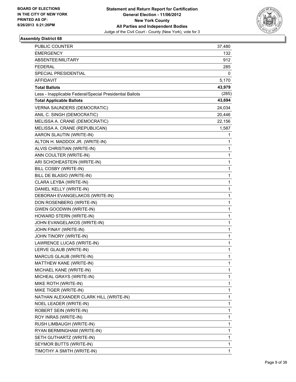

| <b>PUBLIC COUNTER</b>                                    | 37,480 |
|----------------------------------------------------------|--------|
| <b>EMERGENCY</b>                                         | 132    |
| ABSENTEE/MILITARY                                        | 912    |
| <b>FEDERAL</b>                                           | 285    |
| SPECIAL PRESIDENTIAL                                     | 0      |
| AFFIDAVIT                                                | 5,170  |
| <b>Total Ballots</b>                                     | 43,979 |
| Less - Inapplicable Federal/Special Presidential Ballots | (285)  |
| <b>Total Applicable Ballots</b>                          | 43,694 |
| <b>VERNA SAUNDERS (DEMOCRATIC)</b>                       | 24,034 |
| ANIL C. SINGH (DEMOCRATIC)                               | 20,446 |
| MELISSA A. CRANE (DEMOCRATIC)                            | 22,156 |
| MELISSA A. CRANE (REPUBLICAN)                            | 1,587  |
| AARON SLAUTIN (WRITE-IN)                                 | 1      |
| ALTON H. MADDOX JR. (WRITE-IN)                           | 1      |
| ALVIS CHRISTIAN (WRITE-IN)                               | 1      |
| ANN COULTER (WRITE-IN)                                   | 1      |
| ARI SCHOHEASTEIN (WRITE-IN)                              | 1      |
| BILL COSBY (WRITE-IN)                                    | 1      |
| BILL DE BLASIO (WRITE-IN)                                | 1      |
| CLARA LEYBA (WRITE-IN)                                   | 1      |
| DANIEL KELLY (WRITE-IN)                                  | 1      |
| DEBORAH EVANGELAKOS (WRITE-IN)                           | 1      |
| DON ROSENBERG (WRITE-IN)                                 | 1      |
| <b>GWEN GOODWIN (WRITE-IN)</b>                           | 1      |
| HOWARD STERN (WRITE-IN)                                  | 1      |
| JOHN EVANGELAKOS (WRITE-IN)                              | 1      |
| JOHN FINAY (WRITE-IN)                                    | 1      |
| JOHN TINORY (WRITE-IN)                                   | 1      |
| LAWRENCE LUCAS (WRITE-IN)                                | 1      |
| LERVE GLAUB (WRITE-IN)                                   | 1      |
| MARCUS GLAUB (WRITE-IN)                                  | 1      |
| MATTHEW KANE (WRITE-IN)                                  | 1      |
| MICHAEL KANE (WRITE-IN)                                  | 1      |
| MICHEAL GRAYS (WRITE-IN)                                 | 1      |
| MIKE ROTH (WRITE-IN)                                     | 1      |
| MIKE TIGER (WRITE-IN)                                    | 1      |
| NATHAN ALEXANDER CLARK HILL (WRITE-IN)                   | 1      |
| NOEL LEADER (WRITE-IN)                                   | 1      |
| ROBERT SEIN (WRITE-IN)                                   | 1      |
| ROY INRAS (WRITE-IN)                                     | 1      |
| RUSH LIMBAUGH (WRITE-IN)                                 | 1      |
| RYAN BERMINGHAM (WRITE-IN)                               | 1      |
| SETH GUTHARTZ (WRITE-IN)                                 | 1      |
| SEYMOR BUTTS (WRITE-IN)                                  | 1      |
| TIMOTHY A SMITH (WRITE-IN)                               | 1      |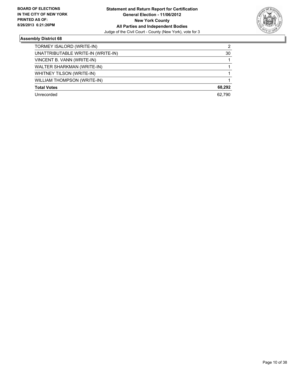

| TORMEY ISALORD (WRITE-IN)          | 2      |
|------------------------------------|--------|
| UNATTRIBUTABLE WRITE-IN (WRITE-IN) | 30     |
| VINCENT B. VANN (WRITE-IN)         |        |
| WALTER SHARKMAN (WRITE-IN)         |        |
| WHITNEY TILSON (WRITE-IN)          |        |
| <b>WILLIAM THOMPSON (WRITE-IN)</b> |        |
| <b>Total Votes</b>                 | 68.292 |
| Unrecorded                         | 62.790 |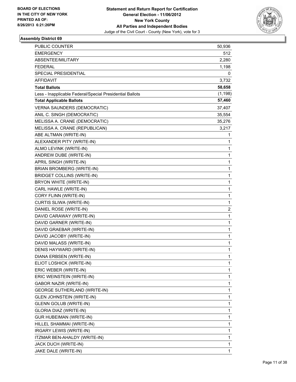

| PUBLIC COUNTER                                           | 50,936                  |
|----------------------------------------------------------|-------------------------|
| <b>EMERGENCY</b>                                         | 512                     |
| ABSENTEE/MILITARY                                        | 2,280                   |
| <b>FEDERAL</b>                                           | 1,198                   |
| <b>SPECIAL PRESIDENTIAL</b>                              | 0                       |
| AFFIDAVIT                                                | 3,732                   |
| <b>Total Ballots</b>                                     | 58,658                  |
| Less - Inapplicable Federal/Special Presidential Ballots | (1, 198)                |
| <b>Total Applicable Ballots</b>                          | 57,460                  |
| <b>VERNA SAUNDERS (DEMOCRATIC)</b>                       | 37,407                  |
| ANIL C. SINGH (DEMOCRATIC)                               | 35,554                  |
| MELISSA A. CRANE (DEMOCRATIC)                            | 35,276                  |
| MELISSA A. CRANE (REPUBLICAN)                            | 3,217                   |
| ABE ALTMAN (WRITE-IN)                                    | 1                       |
| ALEXANDER PITY (WRITE-IN)                                | 1                       |
| ALMO LEVINK (WRITE-IN)                                   | 1                       |
| ANDREW DUBE (WRITE-IN)                                   | 1                       |
| APRIL SINGH (WRITE-IN)                                   | 1                       |
| BRIAN BROMBERG (WRITE-IN)                                | 1                       |
| <b>BRIDGET COLLINS (WRITE-IN)</b>                        | 1                       |
| BRYON WHITE (WRITE-IN)                                   | 1                       |
| CARL HAWLE (WRITE-IN)                                    | 1                       |
| CORY FLINN (WRITE-IN)                                    | 1                       |
| CURTIS SLIWA (WRITE-IN)                                  | 1                       |
| DANIEL ROSE (WRITE-IN)                                   | $\overline{\mathbf{c}}$ |
| DAVID CARAWAY (WRITE-IN)                                 | 1                       |
| DAVID GARNER (WRITE-IN)                                  | 1                       |
| DAVID GRAEBAR (WRITE-IN)                                 | 1                       |
| DAVID JACOBY (WRITE-IN)                                  | 1                       |
| DAVID MALASS (WRITE-IN)                                  | 1                       |
| DENIS HAYWARD (WRITE-IN)                                 | 1                       |
| DIANA ERBSEN (WRITE-IN)                                  | 1                       |
| ELIOT LOSHICK (WRITE-IN)                                 | 1                       |
| ERIC WEBER (WRITE-IN)                                    | 1                       |
| ERIC WEINSTEIN (WRITE-IN)                                | 1                       |
| <b>GABOR NAZIR (WRITE-IN)</b>                            | 1                       |
| <b>GEORGE SUTHERLAND (WRITE-IN)</b>                      | 1                       |
| <b>GLEN JOHNSTEIN (WRITE-IN)</b>                         | 1                       |
| <b>GLENN GOLUB (WRITE-IN)</b>                            | 1                       |
| GLORIA DIAZ (WRITE-IN)                                   | 1                       |
| <b>GUR HUBEIMAN (WRITE-IN)</b>                           | 1                       |
| HILLEL SHAMMAI (WRITE-IN)                                | 1                       |
| IRGARY LEWIS (WRITE-IN)                                  | 1                       |
| ITZMAR BEN-AHALDY (WRITE-IN)                             | 1                       |
| JACK DUCH (WRITE-IN)                                     | 1                       |
| JAKE DALE (WRITE-IN)                                     | $\mathbf{1}$            |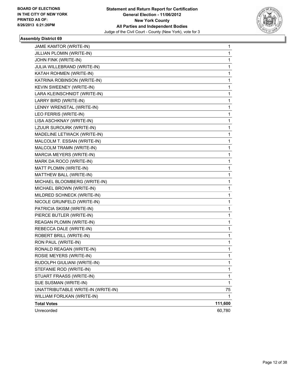

| JAME KAMTOR (WRITE-IN)             | 1       |
|------------------------------------|---------|
| JILLIAN PLOMIN (WRITE-IN)          | 1       |
| JOHN FINK (WRITE-IN)               | 1       |
| JULIA WILLEBRAND (WRITE-IN)        | 1       |
| KATAH ROHMEN (WRITE-IN)            | 1       |
| KATRINA ROBINSON (WRITE-IN)        | 1       |
| KEVIN SWEENEY (WRITE-IN)           | 1       |
| LARA KLEINSCHNIDT (WRITE-IN)       | 1       |
| LARRY BIRD (WRITE-IN)              | 1       |
| LENNY WRENSTAL (WRITE-IN)          | 1       |
| LEO FERRIS (WRITE-IN)              | 1       |
| LISA ASCHKNAY (WRITE-IN)           | 1       |
| LZUUR SUROURK (WRITE-IN)           | 1       |
| MADELINE LETWACK (WRITE-IN)        | 1       |
| MALCOLM T. ESSAN (WRITE-IN)        | 1       |
| MALCOLM TRAMN (WRITE-IN)           | 1       |
| MARCIA MEYERS (WRITE-IN)           | 1       |
| MARK DA ROCO (WRITE-IN)            | 1       |
| MATT PLOMIN (WRITE-IN)             | 1       |
| MATTHEW BALL (WRITE-IN)            | 1       |
| MICHAEL BLOOMBERG (WRITE-IN)       | 1       |
| MICHAEL BROWN (WRITE-IN)           | 1       |
| MILDRED SCHNECK (WRITE-IN)         | 1       |
| NICOLE GRUNFELD (WRITE-IN)         | 1       |
| PATRICIA SKISM (WRITE-IN)          | 1       |
| PIERCE BUTLER (WRITE-IN)           | 1       |
| REAGAN PLOMIN (WRITE-IN)           | 1       |
| REBECCA DALE (WRITE-IN)            | 1       |
| ROBERT BRILL (WRITE-IN)            | 1       |
| RON PAUL (WRITE-IN)                | 1       |
| RONALD REAGAN (WRITE-IN)           | 1       |
| ROSIE MEYERS (WRITE-IN)            | 1       |
| RUDOLPH GIULIANI (WRITE-IN)        | 1       |
| STEFANIE ROD (WRITE-IN)            | 1       |
| STUART FRAASS (WRITE-IN)           | 1       |
| SUE SUSMAN (WRITE-IN)              | 1       |
| UNATTRIBUTABLE WRITE-IN (WRITE-IN) | 75      |
| WILLIAM FORLKAN (WRITE-IN)         | 1       |
| <b>Total Votes</b>                 | 111,600 |
| Unrecorded                         | 60,780  |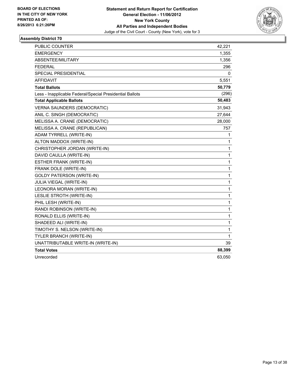

| <b>PUBLIC COUNTER</b>                                    | 42,221       |
|----------------------------------------------------------|--------------|
| <b>EMERGENCY</b>                                         | 1,355        |
| ABSENTEE/MILITARY                                        | 1,356        |
| <b>FEDERAL</b>                                           | 296          |
| SPECIAL PRESIDENTIAL                                     | 0            |
| AFFIDAVIT                                                | 5,551        |
| <b>Total Ballots</b>                                     | 50,779       |
| Less - Inapplicable Federal/Special Presidential Ballots | (296)        |
| <b>Total Applicable Ballots</b>                          | 50,483       |
| VERNA SAUNDERS (DEMOCRATIC)                              | 31,943       |
| ANIL C. SINGH (DEMOCRATIC)                               | 27,644       |
| MELISSA A. CRANE (DEMOCRATIC)                            | 28,000       |
| MELISSA A. CRANE (REPUBLICAN)                            | 757          |
| ADAM TYRRELL (WRITE-IN)                                  | 1            |
| ALTON MADDOX (WRITE-IN)                                  | 1            |
| CHRISTOPHER JORDAN (WRITE-IN)                            | 1            |
| DAVID CAULLA (WRITE-IN)                                  | $\mathbf{1}$ |
| <b>ESTHER FRANK (WRITE-IN)</b>                           | $\mathbf{1}$ |
| FRANK DOLE (WRITE-IN)                                    | $\mathbf 1$  |
| <b>GOLDY PATERSON (WRITE-IN)</b>                         | 1            |
| <b>JULIA VIEGAL (WRITE-IN)</b>                           | $\mathbf{1}$ |
| LEONORA MORAN (WRITE-IN)                                 | $\mathbf{1}$ |
| LESLIE STROTH (WRITE-IN)                                 | $\mathbf{1}$ |
| PHIL LESH (WRITE-IN)                                     | 1            |
| RANDI ROBINSON (WRITE-IN)                                | 1            |
| RONALD ELLIS (WRITE-IN)                                  | 1            |
| SHADEED ALI (WRITE-IN)                                   | $\mathbf{1}$ |
| TIMOTHY S. NELSON (WRITE-IN)                             | $\mathbf 1$  |
| TYLER BRANCH (WRITE-IN)                                  | 1            |
| UNATTRIBUTABLE WRITE-IN (WRITE-IN)                       | 39           |
| <b>Total Votes</b>                                       | 88,399       |
| Unrecorded                                               | 63,050       |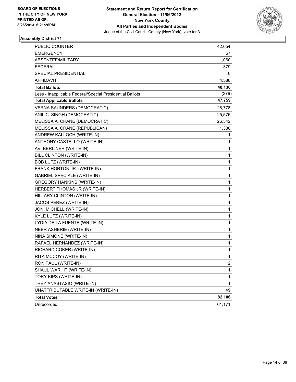

| <b>PUBLIC COUNTER</b>                                    | 42,054 |
|----------------------------------------------------------|--------|
| <b>EMERGENCY</b>                                         | 57     |
| ABSENTEE/MILITARY                                        | 1,060  |
| FEDERAL                                                  | 379    |
| SPECIAL PRESIDENTIAL                                     | 0      |
| AFFIDAVIT                                                | 4,588  |
| <b>Total Ballots</b>                                     | 48,138 |
| Less - Inapplicable Federal/Special Presidential Ballots | (379)  |
| <b>Total Applicable Ballots</b>                          | 47,759 |
| <b>VERNA SAUNDERS (DEMOCRATIC)</b>                       | 28,778 |
| ANIL C. SINGH (DEMOCRATIC)                               | 25,575 |
| MELISSA A. CRANE (DEMOCRATIC)                            | 26,342 |
| MELISSA A. CRANE (REPUBLICAN)                            | 1,338  |
| ANDREW KALLOCH (WRITE-IN)                                | 1      |
| ANTHONY CASTELLO (WRITE-IN)                              | 1      |
| AVI BERLINER (WRITE-IN)                                  | 1      |
| BILL CLINTON (WRITE-IN)                                  | 1      |
| <b>BOB LUTZ (WRITE-IN)</b>                               | 1      |
| FRANK HORTON JR. (WRITE-IN)                              | 1      |
| <b>GABRIEL SPECIALE (WRITE-IN)</b>                       | 1      |
| <b>GREGORY HANKINS (WRITE-IN)</b>                        | 1      |
| HERBERT THOMAS JR (WRITE-IN)                             | 1      |
| HILLARY CLINTON (WRITE-IN)                               | 1      |
| JACOB PEREZ (WRITE-IN)                                   | 1      |
| JONI MICHELL (WRITE-IN)                                  | 1      |
| KYLE LUTZ (WRITE-IN)                                     | 1      |
| LYDIA DE LA FUENTE (WRITE-IN)                            | 1      |
| NEER ASHERIE (WRITE-IN)                                  | 1      |
| NINA SIMONE (WRITE-IN)                                   | 1      |
| RAFAEL HERNANDEZ (WRITE-IN)                              | 1      |
| RICHARD COKER (WRITE-IN)                                 | 1      |
| RITA MCCOY (WRITE-IN)                                    | 1      |
| RON PAUL (WRITE-IN)                                      | 2      |
| SHAUL WARHIT (WRITE-IN)                                  | 1      |
| TORY KIPS (WRITE-IN)                                     | 1      |
| TREY ANASTASIO (WRITE-IN)                                | 1      |
| UNATTRIBUTABLE WRITE-IN (WRITE-IN)                       | 49     |
| <b>Total Votes</b>                                       | 82,106 |
| Unrecorded                                               | 61,171 |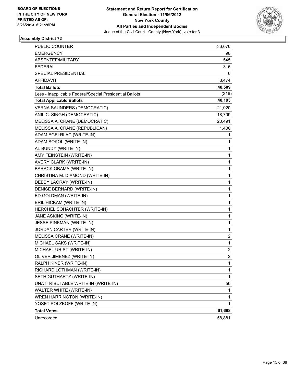

| <b>PUBLIC COUNTER</b>                                    | 36,076         |
|----------------------------------------------------------|----------------|
| <b>EMERGENCY</b>                                         | 98             |
| ABSENTEE/MILITARY                                        | 545            |
| <b>FEDERAL</b>                                           | 316            |
| SPECIAL PRESIDENTIAL                                     | 0              |
| AFFIDAVIT                                                | 3,474          |
| <b>Total Ballots</b>                                     | 40,509         |
| Less - Inapplicable Federal/Special Presidential Ballots | (316)          |
| <b>Total Applicable Ballots</b>                          | 40,193         |
| <b>VERNA SAUNDERS (DEMOCRATIC)</b>                       | 21,020         |
| ANIL C. SINGH (DEMOCRATIC)                               | 18,709         |
| MELISSA A. CRANE (DEMOCRATIC)                            | 20,491         |
| MELISSA A. CRANE (REPUBLICAN)                            | 1,400          |
| ADAM EGELRLAC (WRITE-IN)                                 | 1              |
| ADAM SOKOL (WRITE-IN)                                    | 1              |
| AL BUNDY (WRITE-IN)                                      | 1              |
| AMY FEINSTEIN (WRITE-IN)                                 | 1              |
| AVERY CLARK (WRITE-IN)                                   | 1              |
| <b>BARACK OBAMA (WRITE-IN)</b>                           | 1              |
| CHRISTINA M. DIAMOND (WRITE-IN)                          | 1              |
| DEBBY LAORAY (WRITE-IN)                                  | 1              |
| DENISE BERNARD (WRITE-IN)                                | 1              |
| ED GOLDMAN (WRITE-IN)                                    | 1              |
| ERIL HICKAM (WRITE-IN)                                   | 1              |
| HERCHEL SOHACHTER (WRITE-IN)                             | 1              |
| JANE ASKING (WRITE-IN)                                   | 1              |
| JESSE PINKMAN (WRITE-IN)                                 | 1              |
| JORDAN CARTER (WRITE-IN)                                 | 1              |
| MELISSA CRANE (WRITE-IN)                                 | 2              |
| MICHAEL SAKS (WRITE-IN)                                  | 1              |
| MICHAEL URIST (WRITE-IN)                                 | 2              |
| OLIVER JIMENEZ (WRITE-IN)                                | $\overline{2}$ |
| RALPH KINER (WRITE-IN)                                   | $\mathbf{1}$   |
| RICHARD LOTHMAN (WRITE-IN)                               | 1              |
| SETH GUTHARTZ (WRITE-IN)                                 | 1              |
| UNATTRIBUTABLE WRITE-IN (WRITE-IN)                       | 50             |
| WALTER WHITE (WRITE-IN)                                  | 1              |
| WREN HARRINGTON (WRITE-IN)                               | 1              |
| YOSET POLZKOFF (WRITE-IN)                                | 1              |
| <b>Total Votes</b>                                       | 61,698         |
| Unrecorded                                               | 58,881         |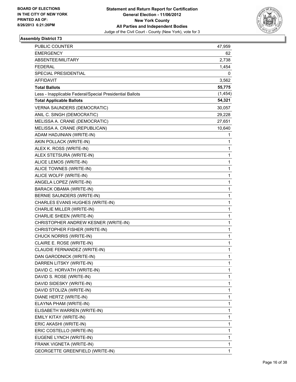

| PUBLIC COUNTER                                           | 47,959       |
|----------------------------------------------------------|--------------|
| <b>EMERGENCY</b>                                         | 62           |
| ABSENTEE/MILITARY                                        | 2,738        |
| <b>FEDERAL</b>                                           | 1,454        |
| SPECIAL PRESIDENTIAL                                     | 0            |
| AFFIDAVIT                                                | 3,562        |
| <b>Total Ballots</b>                                     | 55,775       |
| Less - Inapplicable Federal/Special Presidential Ballots | (1, 454)     |
| <b>Total Applicable Ballots</b>                          | 54,321       |
| <b>VERNA SAUNDERS (DEMOCRATIC)</b>                       | 30,057       |
| ANIL C. SINGH (DEMOCRATIC)                               | 29,228       |
| MELISSA A. CRANE (DEMOCRATIC)                            | 27,651       |
| MELISSA A. CRANE (REPUBLICAN)                            | 10,640       |
| ADAM HADJINIAN (WRITE-IN)                                | 1            |
| AKIN POLLACK (WRITE-IN)                                  | 1            |
| ALEX K. ROSS (WRITE-IN)                                  | 1            |
| ALEX STETSURA (WRITE-IN)                                 | 1            |
| ALICE LEMOS (WRITE-IN)                                   | 1            |
| ALICE TOWNES (WRITE-IN)                                  | $\mathbf 1$  |
| ALICE WOLFF (WRITE-IN)                                   | $\mathbf 1$  |
| ANGELA LOPEZ (WRITE-IN)                                  | 1            |
| <b>BARACK OBAMA (WRITE-IN)</b>                           | 1            |
| BERNIE SAUNDERS (WRITE-IN)                               | 1            |
| CHARLES EVANS HUGHES (WRITE-IN)                          | 1            |
| CHARLIE MILLER (WRITE-IN)                                | $\mathbf 1$  |
| CHARLIE SHEEN (WRITE-IN)                                 | $\mathbf 1$  |
| CHRISTOPHER ANDREW KESNER (WRITE-IN)                     | 1            |
| CHRISTOPHER FISHER (WRITE-IN)                            | 1            |
| CHUCK NORRIS (WRITE-IN)                                  | 1            |
| CLAIRE E. ROSE (WRITE-IN)                                | 1            |
| CLAUDIE FERNANDEZ (WRITE-IN)                             | 1            |
| DAN GARODNICK (WRITE-IN)                                 | 1            |
| DARREN LITSKY (WRITE-IN)                                 | 1            |
| DAVID C. HORVATH (WRITE-IN)                              | 1            |
| DAVID S. ROSE (WRITE-IN)                                 | 1            |
| DAVID SIDESKY (WRITE-IN)                                 | 1            |
| DAVID STOLIZA (WRITE-IN)                                 | 1            |
| DIANE HERTZ (WRITE-IN)                                   | 1            |
| ELAYNA PHAM (WRITE-IN)                                   | 1            |
| ELISABETH WARREN (WRITE-IN)                              | 1            |
| EMILY KITAY (WRITE-IN)                                   | 1            |
| ERIC AKASHI (WRITE-IN)                                   | 1            |
| ERIC COSTELLO (WRITE-IN)                                 | 1            |
| EUGENE LYNCH (WRITE-IN)                                  | 1            |
| FRANK VIGNETA (WRITE-IN)                                 | 1            |
| <b>GEORGETTE GREENFIELD (WRITE-IN)</b>                   | $\mathbf{1}$ |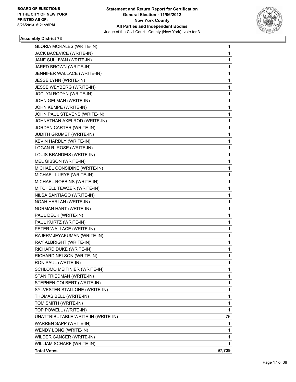

| <b>GLORIA MORALES (WRITE-IN)</b>   | 1      |
|------------------------------------|--------|
| JACK BACEVICE (WRITE-IN)           | 1      |
| JANE SULLIVAN (WRITE-IN)           | 1      |
| JARED BROWN (WRITE-IN)             | 1      |
| JENNIFER WALLACE (WRITE-IN)        | 1      |
| JESSE LYNN (WRITE-IN)              | 1      |
| JESSE WEYBERG (WRITE-IN)           | 1      |
| JOCLYN RODYN (WRITE-IN)            | 1      |
| JOHN GELMAN (WRITE-IN)             | 1      |
| JOHN KEMPE (WRITE-IN)              | 1      |
| JOHN PAUL STEVENS (WRITE-IN)       | 1      |
| JOHNATHAN AXELROD (WRITE-IN)       | 1      |
| JORDAN CARTER (WRITE-IN)           | 1      |
| JUDITH GRUMET (WRITE-IN)           | 1      |
| KEVIN HARDLY (WRITE-IN)            | 1      |
| LOGAN R. ROSE (WRITE-IN)           | 1      |
| LOUIS BRANDEIS (WRITE-IN)          | 1      |
| MEL GIBSON (WRITE-IN)              | 1      |
| MICHAEL CONSIDINE (WRITE-IN)       | 1      |
| MICHAEL LURYE (WRITE-IN)           | 1      |
| MICHAEL ROBBINS (WRITE-IN)         | 1      |
| MITCHELL TEWZER (WRITE-IN)         | 1      |
| NILSA SANTIAGO (WRITE-IN)          | 1      |
| NOAH HARLAN (WRITE-IN)             | 1      |
| NORMAN HART (WRITE-IN)             | 1      |
| PAUL DECK (WRITE-IN)               | 1      |
| PAUL KURTZ (WRITE-IN)              | 1      |
| PETER WALLACE (WRITE-IN)           | 1      |
| RAJERV JEYAKUMAN (WRITE-IN)        | 1      |
| RAY ALBRIGHT (WRITE-IN)            | 1      |
| RICHARD DUKE (WRITE-IN)            | 1      |
| RICHARD NELSON (WRITE-IN)          | 1      |
| RON PAUL (WRITE-IN)                | 1      |
| SCHLOMO MEITINIER (WRITE-IN)       | 1      |
| STAN FRIEDMAN (WRITE-IN)           | 1      |
| STEPHEN COLBERT (WRITE-IN)         | 1      |
| SYLVESTER STALLONE (WRITE-IN)      | 1      |
| THOMAS BELL (WRITE-IN)             | 1      |
| TOM SMITH (WRITE-IN)               | 1      |
| TOP POWELL (WRITE-IN)              | 1      |
| UNATTRIBUTABLE WRITE-IN (WRITE-IN) | 76     |
| WARREN SAPP (WRITE-IN)             | 1      |
| WENDY LONG (WRITE-IN)              | 1      |
| WILDER CANCER (WRITE-IN)           | 1      |
| WILLIAM SCHARF (WRITE-IN)          | 1      |
| <b>Total Votes</b>                 | 97,729 |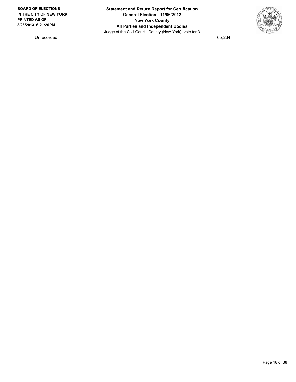

Unrecorded 65,234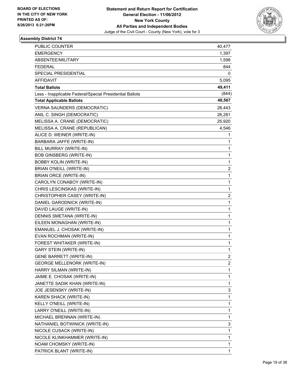

| <b>PUBLIC COUNTER</b>                                    | 40,477         |
|----------------------------------------------------------|----------------|
| <b>EMERGENCY</b>                                         | 1,397          |
| ABSENTEE/MILITARY                                        | 1,598          |
| <b>FEDERAL</b>                                           | 844            |
| SPECIAL PRESIDENTIAL                                     | 0              |
| AFFIDAVIT                                                | 5,095          |
| <b>Total Ballots</b>                                     | 49,411         |
| Less - Inapplicable Federal/Special Presidential Ballots | (844)          |
| <b>Total Applicable Ballots</b>                          | 48,567         |
| <b>VERNA SAUNDERS (DEMOCRATIC)</b>                       | 28,443         |
| ANIL C. SINGH (DEMOCRATIC)                               | 26,281         |
| MELISSA A. CRANE (DEMOCRATIC)                            | 25,920         |
| MELISSA A. CRANE (REPUBLICAN)                            | 4,546          |
| ALICE D. WEINER (WRITE-IN)                               | 1              |
| BARBARA JAFFE (WRITE-IN)                                 | 1              |
| BILL MURRAY (WRITE-IN)                                   | 1              |
| <b>BOB GINSBERG (WRITE-IN)</b>                           | 1              |
| <b>BOBBY KOLIN (WRITE-IN)</b>                            | 1              |
| BRIAN O'NEILL (WRITE-IN)                                 | 2              |
| <b>BRIAN ORCE (WRITE-IN)</b>                             | 1              |
| CAROLYN CONABOY (WRITE-IN)                               | $\mathbf{1}$   |
| CHRIS LESCINSKAS (WRITE-IN)                              | 1              |
| CHRISTOPHER CASEY (WRITE-IN)                             | 2              |
| DANIEL GARODNICK (WRITE-IN)                              | $\mathbf{1}$   |
| DAVID LAUGE (WRITE-IN)                                   | 1              |
| DENNIS SMETANA (WRITE-IN)                                | 1              |
| EILEEN MONAGHAN (WRITE-IN)                               | $\mathbf{1}$   |
| EMANUEL J. CHOSAK (WRITE-IN)                             | 1              |
| EVAN ROCHMAN (WRITE-IN)                                  | 1              |
| FOREST WHITAKER (WRITE-IN)                               | 1              |
| <b>GARY STEIN (WRITE-IN)</b>                             | 1              |
| <b>GENE BARRETT (WRITE-IN)</b>                           | $\overline{2}$ |
| <b>GEORGE MELLENORK (WRITE-IN)</b>                       | 2              |
| HARRY SILMAN (WRITE-IN)                                  | 1              |
| JAIME E. CHOSAK (WRITE-IN)                               | 1              |
| JANETTE SADIK KHAN (WRITE-IN)                            | 1              |
| JOE JESENSKY (WRITE-IN)                                  | 3              |
| KAREN SHACK (WRITE-IN)                                   | 1              |
| KELLY O'NEILL (WRITE-IN)                                 | 1              |
| LARRY O'NEILL (WRITE-IN)                                 | 1              |
| MICHAEL BRENNAN (WRITE-IN)                               | 1              |
| NATHANIEL BOTWINICK (WRITE-IN)                           | 3              |
| NICOLE CUSACK (WRITE-IN)                                 | 1              |
| NICOLE KLINKHAMMER (WRITE-IN)                            | 1              |
| NOAM CHOMSKY (WRITE-IN)                                  | 1              |
| PATRICK BLANT (WRITE-IN)                                 | 1.             |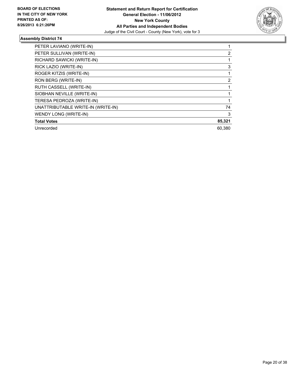

| PETER LAVIANO (WRITE-IN)           |        |
|------------------------------------|--------|
| PETER SULLIVAN (WRITE-IN)          | 2      |
| RICHARD SAWICKI (WRITE-IN)         |        |
| RICK LAZIO (WRITE-IN)              | 3      |
| ROGER KITZIS (WRITE-IN)            |        |
| RON BERG (WRITE-IN)                | 2      |
| RUTH CASSELL (WRITE-IN)            |        |
| SIOBHAN NEVILLE (WRITE-IN)         |        |
| TERESA PEDROZA (WRITE-IN)          |        |
| UNATTRIBUTABLE WRITE-IN (WRITE-IN) | 74     |
| WENDY LONG (WRITE-IN)              | 3      |
| <b>Total Votes</b>                 | 85,321 |
| Unrecorded                         | 60.380 |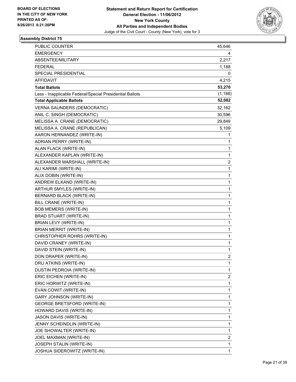

| PUBLIC COUNTER                                           | 45,646                  |
|----------------------------------------------------------|-------------------------|
| <b>EMERGENCY</b>                                         | 4                       |
| ABSENTEE/MILITARY                                        | 2,217                   |
| <b>FEDERAL</b>                                           | 1,188                   |
| SPECIAL PRESIDENTIAL                                     | 0                       |
| AFFIDAVIT                                                | 4,215                   |
| <b>Total Ballots</b>                                     | 53,270                  |
| Less - Inapplicable Federal/Special Presidential Ballots | (1, 188)                |
| <b>Total Applicable Ballots</b>                          | 52,082                  |
| <b>VERNA SAUNDERS (DEMOCRATIC)</b>                       | 32,162                  |
| ANIL C. SINGH (DEMOCRATIC)                               | 30,596                  |
| MELISSA A. CRANE (DEMOCRATIC)                            | 29,849                  |
| MELISSA A. CRANE (REPUBLICAN)                            | 5,109                   |
| AARON HERNANDEZ (WRITE-IN)                               | 1                       |
| ADRIAN PERRY (WRITE-IN)                                  | 1                       |
| ALAN FLACK (WRITE-IN)                                    | 1                       |
| ALEXANDER KAPLAN (WRITE-IN)                              | 1                       |
| ALEXANDER MARSHALL (WRITE-IN)                            | 2                       |
| ALI KARIMI (WRITE-IN)                                    | 1                       |
| ALIX DOBIN (WRITE-IN)                                    | 1                       |
| ANDREW ELKAND (WRITE-IN)                                 | 1                       |
| ARTHUR SMYLES (WRITE-IN)                                 | 1                       |
| BERNARD BLACK (WRITE-IN)                                 | 1                       |
| BILL CRANE (WRITE-IN)                                    | 1                       |
| <b>BOB MEMERS (WRITE-IN)</b>                             | 1                       |
| BRAD STUART (WRITE-IN)                                   | 1                       |
| BRIAN LEVY (WRITE-IN)                                    | 1                       |
| <b>BRIAN MERRIT (WRITE-IN)</b>                           | 1                       |
| CHRISTOPHER ROHRS (WRITE-IN)                             | 1                       |
| DAVID CRANEY (WRITE-IN)                                  | 1                       |
| DAVID STEIN (WRITE-IN)                                   | 1                       |
| DON DRAPER (WRITE-IN)                                    | $\overline{2}$          |
| DRU ATKINS (WRITE-IN)                                    | 1                       |
| DUSTIN PEDROIA (WRITE-IN)                                | 1                       |
| ERIC EICHEN (WRITE-IN)                                   | $\overline{\mathbf{c}}$ |
| ERIC HORWITZ (WRITE-IN)                                  | 1                       |
| EVAN COWIT (WRITE-IN)                                    | 1                       |
| <b>GARY JOHNSON (WRITE-IN)</b>                           | 1                       |
| <b>GEORGE BRETSFORD (WRITE-IN)</b>                       | 1                       |
| HOWARD DAVIS (WRITE-IN)                                  | 1                       |
| JASON DAVIS (WRITE-IN)                                   | 1                       |
| JENNY SCHEINDLIN (WRITE-IN)                              | 1                       |
| JOE SHOWALTER (WRITE-IN)                                 | 1                       |
| JOEL MAXMAN (WRITE-IN)                                   | 2                       |
| JOSEPH STALIN (WRITE-IN)                                 | 1                       |
| JOSHUA SIDEROWITZ (WRITE-IN)                             | $\mathbf{1}$            |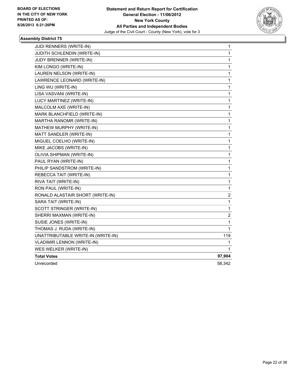

| <b>JUDI RENNERS (WRITE-IN)</b>     | 1      |
|------------------------------------|--------|
| JUDITH SCHLENDIN (WRITE-IN)        | 1      |
| JUDY BRENNER (WRITE-IN)            | 1      |
| KIM LONGO (WRITE-IN)               | 1      |
| LAUREN NELSON (WRITE-IN)           | 1      |
| LAWRENCE LEONARD (WRITE-IN)        | 1      |
| LING WU (WRITE-IN)                 | 1      |
| LISA VASVANI (WRITE-IN)            | 1      |
| LUCY MARTINEZ (WRITE-IN)           | 1      |
| MALCOLM AXE (WRITE-IN)             | 1      |
| MARK BLANCHFIELD (WRITE-IN)        | 1      |
| MARTHA RANOMR (WRITE-IN)           | 1      |
| MATHEW MURPHY (WRITE-IN)           | 1      |
| MATT SANDLER (WRITE-IN)            | 1      |
| MIGUEL COELHO (WRITE-IN)           | 1      |
| MIKE JACOBS (WRITE-IN)             | 1      |
| OLIVIA SHIPMAN (WRITE-IN)          | 1      |
| PAUL RYAN (WRITE-IN)               | 1      |
| PHILIP SANDSTROM (WRITE-IN)        | 1      |
| REBECCA TAIT (WRITE-IN)            | 1      |
| RIVA TAIT (WRITE-IN)               | 1      |
| RON PAUL (WRITE-IN)                | 1      |
| RONALD ALASTAIR SHORT (WRITE-IN)   | 2      |
| SARA TAIT (WRITE-IN)               | 1      |
| SCOTT STRINGER (WRITE-IN)          | 1      |
| SHERRI MAXMAN (WRITE-IN)           | 2      |
| SUSIE JONES (WRITE-IN)             | 1      |
| THOMAS J. RUDA (WRITE-IN)          | 1      |
| UNATTRIBUTABLE WRITE-IN (WRITE-IN) | 119    |
| <b>VLADIMIR LENNON (WRITE-IN)</b>  | 1      |
| WES WELKER (WRITE-IN)              | 1      |
| <b>Total Votes</b>                 | 97,904 |
| Unrecorded                         | 58,342 |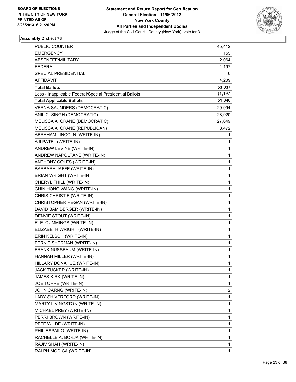

| <b>PUBLIC COUNTER</b>                                    | 45,412   |
|----------------------------------------------------------|----------|
| <b>EMERGENCY</b>                                         | 155      |
| ABSENTEE/MILITARY                                        | 2,064    |
| <b>FEDERAL</b>                                           | 1,197    |
| SPECIAL PRESIDENTIAL                                     | 0        |
| <b>AFFIDAVIT</b>                                         | 4,209    |
| <b>Total Ballots</b>                                     | 53,037   |
| Less - Inapplicable Federal/Special Presidential Ballots | (1, 197) |
| <b>Total Applicable Ballots</b>                          | 51,840   |
| <b>VERNA SAUNDERS (DEMOCRATIC)</b>                       | 29,994   |
| ANIL C. SINGH (DEMOCRATIC)                               | 28,920   |
| MELISSA A. CRANE (DEMOCRATIC)                            | 27,649   |
| MELISSA A. CRANE (REPUBLICAN)                            | 8,472    |
| ABRAHAM LINCOLN (WRITE-IN)                               | 1        |
| AJI PATEL (WRITE-IN)                                     | 1        |
| ANDREW LEVINE (WRITE-IN)                                 | 1        |
| ANDREW NAPOLTANE (WRITE-IN)                              | 1        |
| ANTHONY COLES (WRITE-IN)                                 | 1        |
| BARBARA JAFFE (WRITE-IN)                                 | 1        |
| <b>BRIAN WRIGHT (WRITE-IN)</b>                           | 1        |
| CHERYL THILL (WRITE-IN)                                  | 1        |
| CHIN HONG WANG (WRITE-IN)                                | 1        |
| CHRIS CHRISTIE (WRITE-IN)                                | 1        |
| CHRISTOPHER REGAN (WRITE-IN)                             | 1        |
| DAVID BAM BERGER (WRITE-IN)                              | 1        |
| DENVIE STOUT (WRITE-IN)                                  | 1        |
| E. E. CUMMINGS (WRITE-IN)                                | 1        |
| ELIZABETH WRIGHT (WRITE-IN)                              | 1        |
| ERIN KELSCH (WRITE-IN)                                   | 1        |
| FERN FISHERMAN (WRITE-IN)                                | 1        |
| FRANK NUSSBAUM (WRITE-IN)                                | 1        |
| HANNAH MILLER (WRITE-IN)                                 | 1        |
| HILLARY DONAHUE (WRITE-IN)                               | 1        |
| JACK TUCKER (WRITE-IN)                                   | 1        |
| JAMES KIRK (WRITE-IN)                                    | 1        |
| JOE TORRE (WRITE-IN)                                     | 1        |
| JOHN CARNG (WRITE-IN)                                    | 2        |
| LADY SHIVERFORD (WRITE-IN)                               | 1        |
| MARTY LIVINGSTON (WRITE-IN)                              | 1        |
| MICHAEL PREY (WRITE-IN)                                  | 1        |
| PERRI BROWN (WRITE-IN)                                   | 1        |
| PETE WILDE (WRITE-IN)                                    | 1        |
| PHIL ESPAILO (WRITE-IN)                                  | 1        |
| RACHELLE A. BORJA (WRITE-IN)                             | 1        |
| RAJIV SHAH (WRITE-IN)                                    | 1        |
| RALPH MODICA (WRITE-IN)                                  | 1        |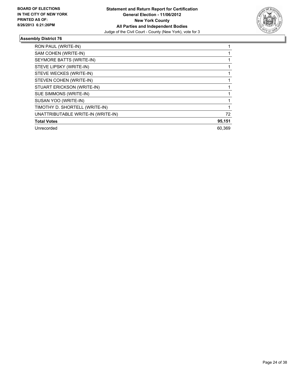

| RON PAUL (WRITE-IN)                |        |
|------------------------------------|--------|
| SAM COHEN (WRITE-IN)               |        |
| SEYMORE BATTS (WRITE-IN)           |        |
| STEVE LIPSKY (WRITE-IN)            |        |
| STEVE WECKES (WRITE-IN)            |        |
| STEVEN COHEN (WRITE-IN)            |        |
| STUART ERICKSON (WRITE-IN)         |        |
| SUE SIMMONS (WRITE-IN)             |        |
| SUSAN YOO (WRITE-IN)               |        |
| TIMOTHY D. SHORTELL (WRITE-IN)     |        |
| UNATTRIBUTABLE WRITE-IN (WRITE-IN) | 72     |
| <b>Total Votes</b>                 | 95,151 |
| Unrecorded                         | 60.369 |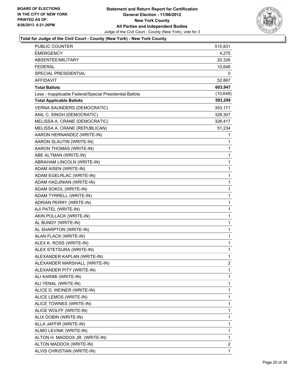

| PUBLIC COUNTER                                           | 515,831   |
|----------------------------------------------------------|-----------|
| <b>EMERGENCY</b>                                         | 4,275     |
| ABSENTEE/MILITARY                                        | 20,326    |
| FEDERAL                                                  | 10,648    |
| SPECIAL PRESIDENTIAL                                     | 0         |
| AFFIDAVIT                                                | 52,867    |
| <b>Total Ballots</b>                                     | 603,947   |
| Less - Inapplicable Federal/Special Presidential Ballots | (10, 648) |
| <b>Total Applicable Ballots</b>                          | 593,299   |
| <b>VERNA SAUNDERS (DEMOCRATIC)</b>                       | 353,171   |
| ANIL C. SINGH (DEMOCRATIC)                               | 328,307   |
| MELISSA A. CRANE (DEMOCRATIC)                            | 326,417   |
| MELISSA A. CRANE (REPUBLICAN)                            | 51,234    |
| AARON HERNANDEZ (WRITE-IN)                               | 1         |
| AARON SLAUTIN (WRITE-IN)                                 | 1         |
| AARON THOMAS (WRITE-IN)                                  | 1         |
| ABE ALTMAN (WRITE-IN)                                    | 1         |
| ABRAHAM LINCOLN (WRITE-IN)                               | 1         |
| ADAM AISEN (WRITE-IN)                                    | 1         |
| ADAM EGELRLAC (WRITE-IN)                                 | 1         |
| ADAM HADJINIAN (WRITE-IN)                                | 1         |
| ADAM SOKOL (WRITE-IN)                                    | 1         |
| ADAM TYRRELL (WRITE-IN)                                  | 1         |
| ADRIAN PERRY (WRITE-IN)                                  | 1         |
| AJI PATEL (WRITE-IN)                                     | 1         |
| AKIN POLLACK (WRITE-IN)                                  | 1         |
| AL BUNDY (WRITE-IN)                                      | 1         |
| AL SHARPTON (WRITE-IN)                                   | 1         |
| ALAN FLACK (WRITE-IN)                                    | 1         |
| ALEX K. ROSS (WRITE-IN)                                  | 1         |
| ALEX STETSURA (WRITE-IN)                                 | 1         |
| ALEXANDER KAPLAN (WRITE-IN)                              | 1         |
| ALEXANDER MARSHALL (WRITE-IN)                            | 2         |
| ALEXANDER PITY (WRITE-IN)                                | 1         |
| ALI KARIMI (WRITE-IN)                                    | 1         |
| ALI YENAL (WRITE-IN)                                     | 1         |
| ALICE D. WEINER (WRITE-IN)                               | 1         |
| ALICE LEMOS (WRITE-IN)                                   | 1         |
| ALICE TOWNES (WRITE-IN)                                  | 1         |
| ALICE WOLFF (WRITE-IN)                                   | 1         |
| ALIX DOBIN (WRITE-IN)                                    | 1         |
| ALLA JAFFIR (WRITE-IN)                                   | 1         |
| ALMO LEVINK (WRITE-IN)                                   | 1         |
| ALTON H. MADDOX JR. (WRITE-IN)                           | 1         |
| ALTON MADDOX (WRITE-IN)                                  | 2         |
| ALVIS CHRISTIAN (WRITE-IN)                               | 1         |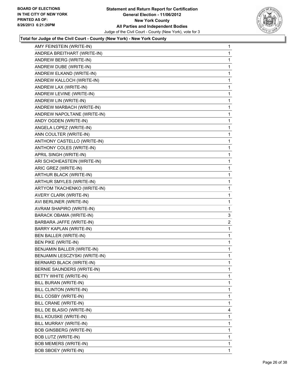

| AMY FEINSTEIN (WRITE-IN)        | 1           |
|---------------------------------|-------------|
| ANDREA BREITHART (WRITE-IN)     | 1           |
| ANDREW BERG (WRITE-IN)          | 1           |
| ANDREW DUBE (WRITE-IN)          | 1           |
| ANDREW ELKAND (WRITE-IN)        | 1           |
| ANDREW KALLOCH (WRITE-IN)       | 1           |
| ANDREW LAX (WRITE-IN)           | 1           |
| ANDREW LEVINE (WRITE-IN)        | 1           |
| ANDREW LIN (WRITE-IN)           | 1           |
| ANDREW MARBACH (WRITE-IN)       | 1           |
| ANDREW NAPOLTANE (WRITE-IN)     | 1           |
| ANDY OGDEN (WRITE-IN)           | 1           |
| ANGELA LOPEZ (WRITE-IN)         | 1           |
| ANN COULTER (WRITE-IN)          | 1           |
| ANTHONY CASTELLO (WRITE-IN)     | 1           |
| ANTHONY COLES (WRITE-IN)        | 1           |
| APRIL SINGH (WRITE-IN)          | 1           |
| ARI SCHOHEASTEIN (WRITE-IN)     | 1           |
| ARIC GREZ (WRITE-IN)            | 1           |
| ARTHUR BLACK (WRITE-IN)         | 1           |
| <b>ARTHUR SMYLES (WRITE-IN)</b> | 1           |
| ARTYOM TKACHENKO (WRITE-IN)     | 1           |
| AVERY CLARK (WRITE-IN)          | 1           |
| AVI BERLINER (WRITE-IN)         | 1           |
| AVRAM SHAPIRO (WRITE-IN)        | 1           |
| BARACK OBAMA (WRITE-IN)         | 3           |
| BARBARA JAFFE (WRITE-IN)        | 2           |
| BARRY KAPLAN (WRITE-IN)         | 1           |
| BEN BALLER (WRITE-IN)           | 1           |
| <b>BEN PIKE (WRITE-IN)</b>      | 1           |
| BENJAMIN BALLER (WRITE-IN)      | 1           |
| BENJAMIN LESCZYSKI (WRITE-IN)   | 1           |
| <b>BERNARD BLACK (WRITE-IN)</b> | 1           |
| BERNIE SAUNDERS (WRITE-IN)      | 1           |
| BETTY WHITE (WRITE-IN)          | 1           |
| BILL BURAN (WRITE-IN)           | 1           |
| BILL CLINTON (WRITE-IN)         | 1           |
| BILL COSBY (WRITE-IN)           | 1           |
| BILL CRANE (WRITE-IN)           | 1           |
| BILL DE BLASIO (WRITE-IN)       | 4           |
| BILL KOUSKE (WRITE-IN)          | 1           |
| BILL MURRAY (WRITE-IN)          | 1           |
| <b>BOB GINSBERG (WRITE-IN)</b>  | 1           |
| BOB LUTZ (WRITE-IN)             | 1           |
| BOB MEMERS (WRITE-IN)           | 1           |
| <b>BOB SBOEY (WRITE-IN)</b>     | $\mathbf 1$ |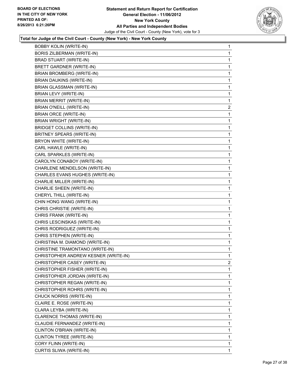

| <b>BOBBY KOLIN (WRITE-IN)</b>        | 1 |
|--------------------------------------|---|
| <b>BORIS ZILBERMAN (WRITE-IN)</b>    | 1 |
| <b>BRAD STUART (WRITE-IN)</b>        | 1 |
| <b>BRETT GARDNER (WRITE-IN)</b>      | 1 |
| <b>BRIAN BROMBERG (WRITE-IN)</b>     | 1 |
| <b>BRIAN DAUKINS (WRITE-IN)</b>      | 1 |
| BRIAN GLASSMAN (WRITE-IN)            | 1 |
| BRIAN LEVY (WRITE-IN)                | 1 |
| <b>BRIAN MERRIT (WRITE-IN)</b>       | 1 |
| <b>BRIAN O'NEILL (WRITE-IN)</b>      | 2 |
| BRIAN ORCE (WRITE-IN)                | 1 |
| BRIAN WRIGHT (WRITE-IN)              | 1 |
| <b>BRIDGET COLLINS (WRITE-IN)</b>    | 1 |
| BRITNEY SPEARS (WRITE-IN)            | 1 |
| BRYON WHITE (WRITE-IN)               | 1 |
| CARL HAWLE (WRITE-IN)                | 1 |
| CARL SPARKLES (WRITE-IN)             | 1 |
| CAROLYN CONABOY (WRITE-IN)           | 1 |
| CHARLENE MENDELSON (WRITE-IN)        | 1 |
| CHARLES EVANS HUGHES (WRITE-IN)      | 1 |
| CHARLIE MILLER (WRITE-IN)            | 1 |
| CHARLIE SHEEN (WRITE-IN)             | 1 |
| CHERYL THILL (WRITE-IN)              | 1 |
| CHIN HONG WANG (WRITE-IN)            | 1 |
| CHRIS CHRISTIE (WRITE-IN)            | 1 |
| CHRIS FRANK (WRITE-IN)               | 1 |
| CHRIS LESCINSKAS (WRITE-IN)          | 1 |
| CHRIS RODRIGUEZ (WRITE-IN)           | 1 |
| CHRIS STEPHEN (WRITE-IN)             | 1 |
| CHRISTINA M. DIAMOND (WRITE-IN)      | 1 |
| CHRISTINE TRAMONTANO (WRITE-IN)      | 1 |
| CHRISTOPHER ANDREW KESNER (WRITE-IN) | 1 |
| CHRISTOPHER CASEY (WRITE-IN)         | 2 |
| CHRISTOPHER FISHER (WRITE-IN)        | 1 |
| CHRISTOPHER JORDAN (WRITE-IN)        | 1 |
| CHRISTOPHER REGAN (WRITE-IN)         | 1 |
| CHRISTOPHER ROHRS (WRITE-IN)         | 1 |
| CHUCK NORRIS (WRITE-IN)              | 1 |
| CLAIRE E. ROSE (WRITE-IN)            | 1 |
| CLARA LEYBA (WRITE-IN)               | 1 |
| CLARENCE THOMAS (WRITE-IN)           | 1 |
| CLAUDIE FERNANDEZ (WRITE-IN)         | 1 |
| CLINTON O'BRIAN (WRITE-IN)           | 1 |
| CLINTON TYREE (WRITE-IN)             | 1 |
| CORY FLINN (WRITE-IN)                | 1 |
| CURTIS SLIWA (WRITE-IN)              | 1 |
|                                      |   |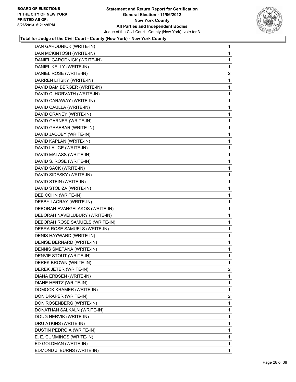

| DAN GARODNICK (WRITE-IN)        | $\mathbf{1}$ |
|---------------------------------|--------------|
| DAN MCKINTOSH (WRITE-IN)        | 1            |
| DANIEL GARODNICK (WRITE-IN)     | 1            |
| DANIEL KELLY (WRITE-IN)         | 1            |
| DANIEL ROSE (WRITE-IN)          | 2            |
| DARREN LITSKY (WRITE-IN)        | 1            |
| DAVID BAM BERGER (WRITE-IN)     | 1            |
| DAVID C. HORVATH (WRITE-IN)     | 1            |
| DAVID CARAWAY (WRITE-IN)        | 1            |
| DAVID CAULLA (WRITE-IN)         | 1            |
| DAVID CRANEY (WRITE-IN)         | 1            |
| DAVID GARNER (WRITE-IN)         | 1            |
| DAVID GRAEBAR (WRITE-IN)        | 1            |
| DAVID JACOBY (WRITE-IN)         | 1            |
| DAVID KAPLAN (WRITE-IN)         | 1            |
| DAVID LAUGE (WRITE-IN)          | 1            |
| DAVID MALASS (WRITE-IN)         | 1            |
| DAVID S. ROSE (WRITE-IN)        | 1            |
| DAVID SACK (WRITE-IN)           | 1            |
| DAVID SIDESKY (WRITE-IN)        | 1            |
| DAVID STEIN (WRITE-IN)          | 1            |
| DAVID STOLIZA (WRITE-IN)        | 1            |
| DEB COHN (WRITE-IN)             | 1            |
| DEBBY LAORAY (WRITE-IN)         | 1            |
| DEBORAH EVANGELAKOS (WRITE-IN)  | 1            |
| DEBORAH NAVEILUBURY (WRITE-IN)  | 1            |
| DEBORAH ROSE SAMUELS (WRITE-IN) | 1            |
| DEBRA ROSE SAMUELS (WRITE-IN)   | 1            |
| DENIS HAYWARD (WRITE-IN)        | 1            |
| DENISE BERNARD (WRITE-IN)       | 1            |
| DENNIS SMETANA (WRITE-IN)       | 1            |
| DENVIE STOUT (WRITE-IN)         | 1            |
| DEREK BROWN (WRITE-IN)          | 1            |
| DEREK JETER (WRITE-IN)          | 2            |
| DIANA ERBSEN (WRITE-IN)         | 1            |
| DIANE HERTZ (WRITE-IN)          | 1            |
| DOMOCK KRAMER (WRITE-IN)        | 1            |
| DON DRAPER (WRITE-IN)           | 2            |
| DON ROSENBERG (WRITE-IN)        | 1            |
| DONATHAN SALKALN (WRITE-IN)     | 1            |
| DOUG NERVIK (WRITE-IN)          | 1            |
| DRU ATKINS (WRITE-IN)           | 1            |
| DUSTIN PEDROIA (WRITE-IN)       | 1            |
| E. E. CUMMINGS (WRITE-IN)       | 1            |
| ED GOLDMAN (WRITE-IN)           | 1            |
| EDMOND J. BURNS (WRITE-IN)      | 1            |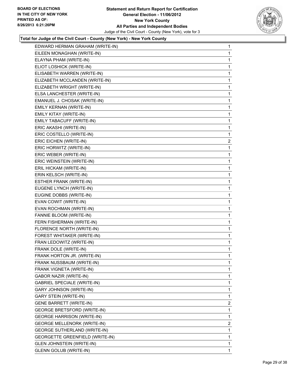#### **Statement and Return Report for Certification General Election - 11/06/2012 New York County All Parties and Independent Bodies** Judge of the Civil Court - County (New York), vote for 3



| EILEEN MONAGHAN (WRITE-IN)<br>1<br>ELAYNA PHAM (WRITE-IN)<br>1<br>ELIOT LOSHICK (WRITE-IN)<br>1<br>ELISABETH WARREN (WRITE-IN)<br>1<br>ELIZABETH MCCLANDEN (WRITE-IN)<br>1<br>ELIZABETH WRIGHT (WRITE-IN)<br>1<br>ELSA LANCHESTER (WRITE-IN)<br>1<br>EMANUEL J. CHOSAK (WRITE-IN)<br>1<br>EMILY KERNAN (WRITE-IN)<br>1<br>EMILY KITAY (WRITE-IN)<br>1<br>EMILY TABACUFF (WRITE-IN)<br>1<br>ERIC AKASHI (WRITE-IN)<br>1<br>ERIC COSTELLO (WRITE-IN)<br>1<br>ERIC EICHEN (WRITE-IN)<br>2<br>ERIC HORWITZ (WRITE-IN)<br>1<br>ERIC WEBER (WRITE-IN)<br>1<br>ERIC WEINSTEIN (WRITE-IN)<br>1<br>ERIL HICKAM (WRITE-IN)<br>1<br>ERIN KELSCH (WRITE-IN)<br>1<br>ESTHER FRANK (WRITE-IN)<br>1<br>EUGENE LYNCH (WRITE-IN)<br>1<br>EUGINE DOBBS (WRITE-IN)<br>1<br>EVAN COWIT (WRITE-IN)<br>1<br>EVAN ROCHMAN (WRITE-IN)<br>1<br>FANNIE BLOOM (WRITE-IN)<br>1<br>FERN FISHERMAN (WRITE-IN)<br>1<br>FLORENCE NORTH (WRITE-IN)<br>1<br>FOREST WHITAKER (WRITE-IN)<br>1<br>FRAN LEDOWITZ (WRITE-IN)<br>1<br>FRANK DOLE (WRITE-IN)<br>1<br>FRANK HORTON JR. (WRITE-IN)<br>1<br>FRANK NUSSBAUM (WRITE-IN)<br>1<br>1<br>FRANK VIGNETA (WRITE-IN)<br>GABOR NAZIR (WRITE-IN)<br>1<br><b>GABRIEL SPECIALE (WRITE-IN)</b><br>1<br><b>GARY JOHNSON (WRITE-IN)</b><br>1<br><b>GARY STEIN (WRITE-IN)</b><br>1<br><b>GENE BARRETT (WRITE-IN)</b><br>2<br>GEORGE BRETSFORD (WRITE-IN)<br>1<br><b>GEORGE HARRISON (WRITE-IN)</b><br>1<br><b>GEORGE MELLENORK (WRITE-IN)</b><br>$\overline{2}$<br><b>GEORGE SUTHERLAND (WRITE-IN)</b><br>1<br>GEORGETTE GREENFIELD (WRITE-IN)<br>1<br><b>GLEN JOHNSTEIN (WRITE-IN)</b><br>1<br><b>GLENN GOLUB (WRITE-IN)</b> | EDWARD HERMAN GRAHAM (WRITE-IN) | $\mathbf 1$ |
|----------------------------------------------------------------------------------------------------------------------------------------------------------------------------------------------------------------------------------------------------------------------------------------------------------------------------------------------------------------------------------------------------------------------------------------------------------------------------------------------------------------------------------------------------------------------------------------------------------------------------------------------------------------------------------------------------------------------------------------------------------------------------------------------------------------------------------------------------------------------------------------------------------------------------------------------------------------------------------------------------------------------------------------------------------------------------------------------------------------------------------------------------------------------------------------------------------------------------------------------------------------------------------------------------------------------------------------------------------------------------------------------------------------------------------------------------------------------------------------------------------------------------------------------------------------------------------------------------------------------------------|---------------------------------|-------------|
|                                                                                                                                                                                                                                                                                                                                                                                                                                                                                                                                                                                                                                                                                                                                                                                                                                                                                                                                                                                                                                                                                                                                                                                                                                                                                                                                                                                                                                                                                                                                                                                                                                  |                                 |             |
|                                                                                                                                                                                                                                                                                                                                                                                                                                                                                                                                                                                                                                                                                                                                                                                                                                                                                                                                                                                                                                                                                                                                                                                                                                                                                                                                                                                                                                                                                                                                                                                                                                  |                                 |             |
|                                                                                                                                                                                                                                                                                                                                                                                                                                                                                                                                                                                                                                                                                                                                                                                                                                                                                                                                                                                                                                                                                                                                                                                                                                                                                                                                                                                                                                                                                                                                                                                                                                  |                                 |             |
|                                                                                                                                                                                                                                                                                                                                                                                                                                                                                                                                                                                                                                                                                                                                                                                                                                                                                                                                                                                                                                                                                                                                                                                                                                                                                                                                                                                                                                                                                                                                                                                                                                  |                                 |             |
|                                                                                                                                                                                                                                                                                                                                                                                                                                                                                                                                                                                                                                                                                                                                                                                                                                                                                                                                                                                                                                                                                                                                                                                                                                                                                                                                                                                                                                                                                                                                                                                                                                  |                                 |             |
|                                                                                                                                                                                                                                                                                                                                                                                                                                                                                                                                                                                                                                                                                                                                                                                                                                                                                                                                                                                                                                                                                                                                                                                                                                                                                                                                                                                                                                                                                                                                                                                                                                  |                                 |             |
|                                                                                                                                                                                                                                                                                                                                                                                                                                                                                                                                                                                                                                                                                                                                                                                                                                                                                                                                                                                                                                                                                                                                                                                                                                                                                                                                                                                                                                                                                                                                                                                                                                  |                                 |             |
|                                                                                                                                                                                                                                                                                                                                                                                                                                                                                                                                                                                                                                                                                                                                                                                                                                                                                                                                                                                                                                                                                                                                                                                                                                                                                                                                                                                                                                                                                                                                                                                                                                  |                                 |             |
|                                                                                                                                                                                                                                                                                                                                                                                                                                                                                                                                                                                                                                                                                                                                                                                                                                                                                                                                                                                                                                                                                                                                                                                                                                                                                                                                                                                                                                                                                                                                                                                                                                  |                                 |             |
|                                                                                                                                                                                                                                                                                                                                                                                                                                                                                                                                                                                                                                                                                                                                                                                                                                                                                                                                                                                                                                                                                                                                                                                                                                                                                                                                                                                                                                                                                                                                                                                                                                  |                                 |             |
|                                                                                                                                                                                                                                                                                                                                                                                                                                                                                                                                                                                                                                                                                                                                                                                                                                                                                                                                                                                                                                                                                                                                                                                                                                                                                                                                                                                                                                                                                                                                                                                                                                  |                                 |             |
|                                                                                                                                                                                                                                                                                                                                                                                                                                                                                                                                                                                                                                                                                                                                                                                                                                                                                                                                                                                                                                                                                                                                                                                                                                                                                                                                                                                                                                                                                                                                                                                                                                  |                                 |             |
|                                                                                                                                                                                                                                                                                                                                                                                                                                                                                                                                                                                                                                                                                                                                                                                                                                                                                                                                                                                                                                                                                                                                                                                                                                                                                                                                                                                                                                                                                                                                                                                                                                  |                                 |             |
|                                                                                                                                                                                                                                                                                                                                                                                                                                                                                                                                                                                                                                                                                                                                                                                                                                                                                                                                                                                                                                                                                                                                                                                                                                                                                                                                                                                                                                                                                                                                                                                                                                  |                                 |             |
|                                                                                                                                                                                                                                                                                                                                                                                                                                                                                                                                                                                                                                                                                                                                                                                                                                                                                                                                                                                                                                                                                                                                                                                                                                                                                                                                                                                                                                                                                                                                                                                                                                  |                                 |             |
|                                                                                                                                                                                                                                                                                                                                                                                                                                                                                                                                                                                                                                                                                                                                                                                                                                                                                                                                                                                                                                                                                                                                                                                                                                                                                                                                                                                                                                                                                                                                                                                                                                  |                                 |             |
|                                                                                                                                                                                                                                                                                                                                                                                                                                                                                                                                                                                                                                                                                                                                                                                                                                                                                                                                                                                                                                                                                                                                                                                                                                                                                                                                                                                                                                                                                                                                                                                                                                  |                                 |             |
|                                                                                                                                                                                                                                                                                                                                                                                                                                                                                                                                                                                                                                                                                                                                                                                                                                                                                                                                                                                                                                                                                                                                                                                                                                                                                                                                                                                                                                                                                                                                                                                                                                  |                                 |             |
|                                                                                                                                                                                                                                                                                                                                                                                                                                                                                                                                                                                                                                                                                                                                                                                                                                                                                                                                                                                                                                                                                                                                                                                                                                                                                                                                                                                                                                                                                                                                                                                                                                  |                                 |             |
|                                                                                                                                                                                                                                                                                                                                                                                                                                                                                                                                                                                                                                                                                                                                                                                                                                                                                                                                                                                                                                                                                                                                                                                                                                                                                                                                                                                                                                                                                                                                                                                                                                  |                                 |             |
|                                                                                                                                                                                                                                                                                                                                                                                                                                                                                                                                                                                                                                                                                                                                                                                                                                                                                                                                                                                                                                                                                                                                                                                                                                                                                                                                                                                                                                                                                                                                                                                                                                  |                                 |             |
|                                                                                                                                                                                                                                                                                                                                                                                                                                                                                                                                                                                                                                                                                                                                                                                                                                                                                                                                                                                                                                                                                                                                                                                                                                                                                                                                                                                                                                                                                                                                                                                                                                  |                                 |             |
|                                                                                                                                                                                                                                                                                                                                                                                                                                                                                                                                                                                                                                                                                                                                                                                                                                                                                                                                                                                                                                                                                                                                                                                                                                                                                                                                                                                                                                                                                                                                                                                                                                  |                                 |             |
|                                                                                                                                                                                                                                                                                                                                                                                                                                                                                                                                                                                                                                                                                                                                                                                                                                                                                                                                                                                                                                                                                                                                                                                                                                                                                                                                                                                                                                                                                                                                                                                                                                  |                                 |             |
|                                                                                                                                                                                                                                                                                                                                                                                                                                                                                                                                                                                                                                                                                                                                                                                                                                                                                                                                                                                                                                                                                                                                                                                                                                                                                                                                                                                                                                                                                                                                                                                                                                  |                                 |             |
|                                                                                                                                                                                                                                                                                                                                                                                                                                                                                                                                                                                                                                                                                                                                                                                                                                                                                                                                                                                                                                                                                                                                                                                                                                                                                                                                                                                                                                                                                                                                                                                                                                  |                                 |             |
|                                                                                                                                                                                                                                                                                                                                                                                                                                                                                                                                                                                                                                                                                                                                                                                                                                                                                                                                                                                                                                                                                                                                                                                                                                                                                                                                                                                                                                                                                                                                                                                                                                  |                                 |             |
|                                                                                                                                                                                                                                                                                                                                                                                                                                                                                                                                                                                                                                                                                                                                                                                                                                                                                                                                                                                                                                                                                                                                                                                                                                                                                                                                                                                                                                                                                                                                                                                                                                  |                                 |             |
|                                                                                                                                                                                                                                                                                                                                                                                                                                                                                                                                                                                                                                                                                                                                                                                                                                                                                                                                                                                                                                                                                                                                                                                                                                                                                                                                                                                                                                                                                                                                                                                                                                  |                                 |             |
|                                                                                                                                                                                                                                                                                                                                                                                                                                                                                                                                                                                                                                                                                                                                                                                                                                                                                                                                                                                                                                                                                                                                                                                                                                                                                                                                                                                                                                                                                                                                                                                                                                  |                                 |             |
|                                                                                                                                                                                                                                                                                                                                                                                                                                                                                                                                                                                                                                                                                                                                                                                                                                                                                                                                                                                                                                                                                                                                                                                                                                                                                                                                                                                                                                                                                                                                                                                                                                  |                                 |             |
|                                                                                                                                                                                                                                                                                                                                                                                                                                                                                                                                                                                                                                                                                                                                                                                                                                                                                                                                                                                                                                                                                                                                                                                                                                                                                                                                                                                                                                                                                                                                                                                                                                  |                                 |             |
|                                                                                                                                                                                                                                                                                                                                                                                                                                                                                                                                                                                                                                                                                                                                                                                                                                                                                                                                                                                                                                                                                                                                                                                                                                                                                                                                                                                                                                                                                                                                                                                                                                  |                                 |             |
|                                                                                                                                                                                                                                                                                                                                                                                                                                                                                                                                                                                                                                                                                                                                                                                                                                                                                                                                                                                                                                                                                                                                                                                                                                                                                                                                                                                                                                                                                                                                                                                                                                  |                                 |             |
|                                                                                                                                                                                                                                                                                                                                                                                                                                                                                                                                                                                                                                                                                                                                                                                                                                                                                                                                                                                                                                                                                                                                                                                                                                                                                                                                                                                                                                                                                                                                                                                                                                  |                                 |             |
|                                                                                                                                                                                                                                                                                                                                                                                                                                                                                                                                                                                                                                                                                                                                                                                                                                                                                                                                                                                                                                                                                                                                                                                                                                                                                                                                                                                                                                                                                                                                                                                                                                  |                                 |             |
|                                                                                                                                                                                                                                                                                                                                                                                                                                                                                                                                                                                                                                                                                                                                                                                                                                                                                                                                                                                                                                                                                                                                                                                                                                                                                                                                                                                                                                                                                                                                                                                                                                  |                                 |             |
|                                                                                                                                                                                                                                                                                                                                                                                                                                                                                                                                                                                                                                                                                                                                                                                                                                                                                                                                                                                                                                                                                                                                                                                                                                                                                                                                                                                                                                                                                                                                                                                                                                  |                                 |             |
|                                                                                                                                                                                                                                                                                                                                                                                                                                                                                                                                                                                                                                                                                                                                                                                                                                                                                                                                                                                                                                                                                                                                                                                                                                                                                                                                                                                                                                                                                                                                                                                                                                  |                                 |             |
|                                                                                                                                                                                                                                                                                                                                                                                                                                                                                                                                                                                                                                                                                                                                                                                                                                                                                                                                                                                                                                                                                                                                                                                                                                                                                                                                                                                                                                                                                                                                                                                                                                  |                                 |             |
|                                                                                                                                                                                                                                                                                                                                                                                                                                                                                                                                                                                                                                                                                                                                                                                                                                                                                                                                                                                                                                                                                                                                                                                                                                                                                                                                                                                                                                                                                                                                                                                                                                  |                                 |             |
|                                                                                                                                                                                                                                                                                                                                                                                                                                                                                                                                                                                                                                                                                                                                                                                                                                                                                                                                                                                                                                                                                                                                                                                                                                                                                                                                                                                                                                                                                                                                                                                                                                  |                                 |             |
|                                                                                                                                                                                                                                                                                                                                                                                                                                                                                                                                                                                                                                                                                                                                                                                                                                                                                                                                                                                                                                                                                                                                                                                                                                                                                                                                                                                                                                                                                                                                                                                                                                  |                                 |             |
|                                                                                                                                                                                                                                                                                                                                                                                                                                                                                                                                                                                                                                                                                                                                                                                                                                                                                                                                                                                                                                                                                                                                                                                                                                                                                                                                                                                                                                                                                                                                                                                                                                  |                                 |             |
|                                                                                                                                                                                                                                                                                                                                                                                                                                                                                                                                                                                                                                                                                                                                                                                                                                                                                                                                                                                                                                                                                                                                                                                                                                                                                                                                                                                                                                                                                                                                                                                                                                  |                                 | 1           |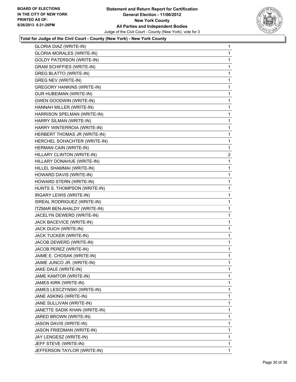

| GLORIA DIAZ (WRITE-IN)            | 1              |
|-----------------------------------|----------------|
| <b>GLORIA MORALES (WRITE-IN)</b>  | 1              |
| <b>GOLDY PATERSON (WRITE-IN)</b>  | 1              |
| <b>GRAM SCHIFFIES (WRITE-IN)</b>  | 1              |
| <b>GREG BLATTO (WRITE-IN)</b>     | 1              |
| <b>GREG NEV (WRITE-IN)</b>        | 1              |
| <b>GREGORY HANKINS (WRITE-IN)</b> | 1              |
| <b>GUR HUBEIMAN (WRITE-IN)</b>    | 1              |
| <b>GWEN GOODWIN (WRITE-IN)</b>    | 1              |
| HANNAH MILLER (WRITE-IN)          | 1              |
| HARRISON SPELMAN (WRITE-IN)       | 1              |
| HARRY SILMAN (WRITE-IN)           | 1              |
| HARRY WINTERROIA (WRITE-IN)       | 1              |
| HERBERT THOMAS JR (WRITE-IN)      | 1              |
| HERCHEL SOHACHTER (WRITE-IN)      | 1              |
| HERMAN CAIN (WRITE-IN)            | 1              |
| HILLARY CLINTON (WRITE-IN)        | $\overline{2}$ |
| HILLARY DONAHUE (WRITE-IN)        | 1              |
| HILLEL SHAMMAI (WRITE-IN)         | 1              |
| HOWARD DAVIS (WRITE-IN)           | 1              |
| HOWARD STERN (WRITE-IN)           | 1              |
| HUNTS S. THOMPSON (WRITE-IN)      | 1              |
| IRGARY LEWIS (WRITE-IN)           | 1              |
| ISREAL RODRIGUEZ (WRITE-IN)       | 1              |
| ITZMAR BEN-AHALDY (WRITE-IN)      | 1              |
| JACELYN DEWERD (WRITE-IN)         | 1              |
| JACK BACEVICE (WRITE-IN)          | 1              |
| JACK DUCH (WRITE-IN)              | 1              |
| JACK TUCKER (WRITE-IN)            | 1              |
| JACOB DEWERD (WRITE-IN)           | 1              |
| JACOB PEREZ (WRITE-IN)            | 1              |
| JAIME E. CHOSAK (WRITE-IN)        | 1              |
| JAIME JUNCO JR. (WRITE-IN)        | 1              |
| JAKE DALE (WRITE-IN)              | 1              |
| JAME KAMTOR (WRITE-IN)            | 1              |
| JAMES KIRK (WRITE-IN)             | 1              |
| JAMES LESCZYNSKI (WRITE-IN)       | 1              |
| JANE ASKING (WRITE-IN)            | 1              |
| JANE SULLIVAN (WRITE-IN)          | 1              |
| JANETTE SADIK KHAN (WRITE-IN)     | 1              |
| JARED BROWN (WRITE-IN)            | 1              |
| JASON DAVIS (WRITE-IN)            | 1              |
| JASON FRIEDMAN (WRITE-IN)         | 1              |
| JAY LENGESZ (WRITE-IN)            | 1              |
| JEFF STEVE (WRITE-IN)             | 1              |
| JEFFERSON TAYLOR (WRITE-IN)       | 1              |
|                                   |                |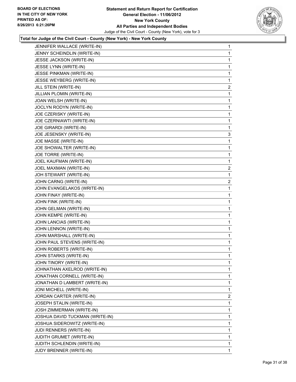

| JENNIFER WALLACE (WRITE-IN)     | 1                       |
|---------------------------------|-------------------------|
| JENNY SCHEINDLIN (WRITE-IN)     | 1                       |
| JESSE JACKSON (WRITE-IN)        | 1                       |
| JESSE LYNN (WRITE-IN)           | 1                       |
| JESSE PINKMAN (WRITE-IN)        | 1                       |
| JESSE WEYBERG (WRITE-IN)        | 1                       |
| JILL STEIN (WRITE-IN)           | 2                       |
| JILLIAN PLOMIN (WRITE-IN)       | 1                       |
| JOAN WELSH (WRITE-IN)           | 1                       |
| JOCLYN RODYN (WRITE-IN)         | 1                       |
| JOE CZERISKY (WRITE-IN)         | 1                       |
| JOE CZERNIAWTI (WRITE-IN)       | 1                       |
| JOE GIRARDI (WRITE-IN)          | 1                       |
| JOE JESENSKY (WRITE-IN)         | 3                       |
| JOE MASSE (WRITE-IN)            | 1                       |
| JOE SHOWALTER (WRITE-IN)        | 1                       |
| JOE TORRE (WRITE-IN)            | 1                       |
| JOEL KAUFMAN (WRITE-IN)         | 1                       |
| JOEL MAXMAN (WRITE-IN)          | 2                       |
| JOH STEWART (WRITE-IN)          | 1                       |
| JOHN CARNG (WRITE-IN)           | $\overline{\mathbf{c}}$ |
| JOHN EVANGELAKOS (WRITE-IN)     | 1                       |
| JOHN FINAY (WRITE-IN)           | 1                       |
| JOHN FINK (WRITE-IN)            | 1                       |
| JOHN GELMAN (WRITE-IN)          | 1                       |
| JOHN KEMPE (WRITE-IN)           | 1                       |
| JOHN LANCIAS (WRITE-IN)         | 1                       |
| JOHN LENNON (WRITE-IN)          | 1                       |
| JOHN MARSHALL (WRITE-IN)        | 1                       |
| JOHN PAUL STEVENS (WRITE-IN)    | 1                       |
| JOHN ROBERTS (WRITE-IN)         | 1                       |
| JOHN STARKS (WRITE-IN)          | 1                       |
| JOHN TINORY (WRITE-IN)          | 1                       |
| JOHNATHAN AXELROD (WRITE-IN)    | 1                       |
| JONATHAN CORNELL (WRITE-IN)     | 1                       |
| JONATHAN D LAMBERT (WRITE-IN)   | 1                       |
| JONI MICHELL (WRITE-IN)         | 1                       |
| JORDAN CARTER (WRITE-IN)        | 2                       |
| JOSEPH STALIN (WRITE-IN)        | 1                       |
| JOSH ZIMMERMAN (WRITE-IN)       | 1                       |
| JOSHUA DAVID TUCKMAN (WRITE-IN) | 1                       |
| JOSHUA SIDEROWITZ (WRITE-IN)    | 1                       |
| JUDI RENNERS (WRITE-IN)         | 1                       |
|                                 |                         |
| JUDITH GRUMET (WRITE-IN)        | $\mathbf{1}$            |
| JUDITH SCHLENDIN (WRITE-IN)     | 1                       |
|                                 |                         |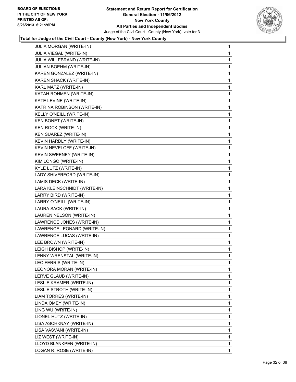

| JULIA MORGAN (WRITE-IN)      | 1            |
|------------------------------|--------------|
| JULIA VIEGAL (WRITE-IN)      | 1            |
| JULIA WILLEBRAND (WRITE-IN)  | 1            |
| JULIAN BOEHM (WRITE-IN)      | 1            |
| KAREN GONZALEZ (WRITE-IN)    | 1            |
| KAREN SHACK (WRITE-IN)       | 1            |
| KARL MATZ (WRITE-IN)         | 1            |
| KATAH ROHMEN (WRITE-IN)      | 1            |
| KATE LEVINE (WRITE-IN)       | 1            |
| KATRINA ROBINSON (WRITE-IN)  | 1            |
| KELLY O'NEILL (WRITE-IN)     | 1            |
| <b>KEN BONET (WRITE-IN)</b>  | 1            |
| <b>KEN ROCK (WRITE-IN)</b>   | 1            |
| KEN SUAREZ (WRITE-IN)        | 1            |
| KEVIN HARDLY (WRITE-IN)      | 1            |
| KEVIN NEVELOFF (WRITE-IN)    | 1            |
| KEVIN SWEENEY (WRITE-IN)     | 1            |
| KIM LONGO (WRITE-IN)         | 1            |
| KYLE LUTZ (WRITE-IN)         | 1            |
| LADY SHIVERFORD (WRITE-IN)   | 1            |
| LAMIS DECK (WRITE-IN)        | 1            |
| LARA KLEINSCHNIDT (WRITE-IN) | 1            |
| LARRY BIRD (WRITE-IN)        | 1            |
| LARRY O'NEILL (WRITE-IN)     | 1            |
| LAURA SACK (WRITE-IN)        | 1            |
| LAUREN NELSON (WRITE-IN)     | 1            |
| LAWRENCE JONES (WRITE-IN)    | 1            |
| LAWRENCE LEONARD (WRITE-IN)  | 1            |
| LAWRENCE LUCAS (WRITE-IN)    | 1            |
| LEE BROWN (WRITE-IN)         | 1            |
| LEIGH BISHOP (WRITE-IN)      | 1            |
| LENNY WRENSTAL (WRITE-IN)    | 1            |
| LEO FERRIS (WRITE-IN)        | 1            |
| LEONORA MORAN (WRITE-IN)     | 1            |
| LERVE GLAUB (WRITE-IN)       | 1            |
| LESLIE KRAMER (WRITE-IN)     | 1            |
| LESLIE STROTH (WRITE-IN)     | 1            |
| LIAM TORRES (WRITE-IN)       | 1            |
| LINDA OMEY (WRITE-IN)        | 1            |
| LING WU (WRITE-IN)           | 1            |
| LIONEL HUTZ (WRITE-IN)       | 1            |
| LISA ASCHKNAY (WRITE-IN)     | 1            |
| LISA VASVANI (WRITE-IN)      | 1            |
| LIZ WEST (WRITE-IN)          | 1            |
| LLOYD BLANKPEN (WRITE-IN)    | 1            |
| LOGAN R. ROSE (WRITE-IN)     | $\mathbf{1}$ |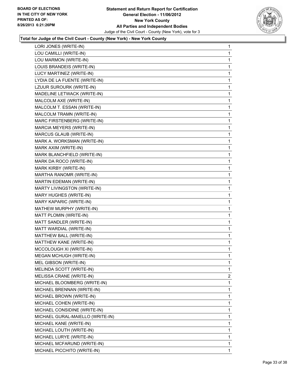

| LORI JONES (WRITE-IN)            | 1              |
|----------------------------------|----------------|
| LOU CAMILLI (WRITE-IN)           | 1              |
| LOU MARMON (WRITE-IN)            | 1              |
| LOUIS BRANDEIS (WRITE-IN)        | 1              |
| LUCY MARTINEZ (WRITE-IN)         | 1              |
| LYDIA DE LA FUENTE (WRITE-IN)    | 1              |
| LZUUR SUROURK (WRITE-IN)         | 1              |
| MADELINE LETWACK (WRITE-IN)      | 1              |
| MALCOLM AXE (WRITE-IN)           | 1              |
| MALCOLM T. ESSAN (WRITE-IN)      | 1              |
| MALCOLM TRAMN (WRITE-IN)         | 1              |
| MARC FIRSTENBERG (WRITE-IN)      | 1              |
| MARCIA MEYERS (WRITE-IN)         | 1              |
| MARCUS GLAUB (WRITE-IN)          | 1              |
| MARK A. WORKSMAN (WRITE-IN)      | 1              |
| MARK AXIM (WRITE-IN)             | 1              |
| MARK BLANCHFIELD (WRITE-IN)      | 1              |
| MARK DA ROCO (WRITE-IN)          | 1              |
| MARK KIRBY (WRITE-IN)            | 1              |
| MARTHA RANOMR (WRITE-IN)         | 1              |
| MARTIN EDEMAN (WRITE-IN)         | 1              |
| MARTY LIVINGSTON (WRITE-IN)      | 1              |
| MARY HUGHES (WRITE-IN)           | 1              |
| MARY KAPARIC (WRITE-IN)          | 1              |
| MATHEW MURPHY (WRITE-IN)         | 1              |
| MATT PLOMIN (WRITE-IN)           | 1              |
| MATT SANDLER (WRITE-IN)          | 1              |
| MATT WARDIAL (WRITE-IN)          | 1              |
| MATTHEW BALL (WRITE-IN)          | 1              |
| MATTHEW KANE (WRITE-IN)          | 1              |
| MCCOLOUGH XI (WRITE-IN)          | 1              |
| <b>MEGAN MCHUGH (WRITE-IN)</b>   | 1              |
| MEL GIBSON (WRITE-IN)            | 1              |
| MELINDA SCOTT (WRITE-IN)         | 1              |
| MELISSA CRANE (WRITE-IN)         | $\overline{2}$ |
| MICHAEL BLOOMBERG (WRITE-IN)     | 1              |
| MICHAEL BRENNAN (WRITE-IN)       | 1              |
| MICHAEL BROWN (WRITE-IN)         | 1              |
| MICHAEL COHEN (WRITE-IN)         | 1              |
| MICHAEL CONSIDINE (WRITE-IN)     | 1              |
| MICHAEL GURAL-MAIELLO (WRITE-IN) | 1              |
| MICHAEL KANE (WRITE-IN)          | 1              |
| MICHAEL LOUTH (WRITE-IN)         | 1              |
| MICHAEL LURYE (WRITE-IN)         | 1              |
| MICHAEL MCFARUND (WRITE-IN)      | 1              |
| MICHAEL PICCHITO (WRITE-IN)      | 1              |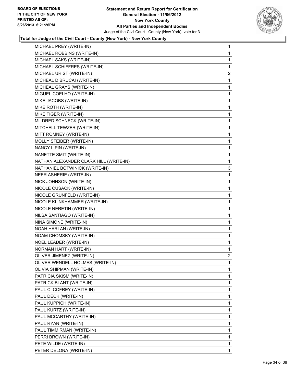

| MICHAEL PREY (WRITE-IN)                | 1            |
|----------------------------------------|--------------|
| MICHAEL ROBBINS (WRITE-IN)             | $\mathbf{1}$ |
| MICHAEL SAKS (WRITE-IN)                | 1            |
| MICHAEL SCHIFFRES (WRITE-IN)           | 1            |
| MICHAEL URIST (WRITE-IN)               | 2            |
| MICHEAL D BRUCAI (WRITE-IN)            | 1            |
| MICHEAL GRAYS (WRITE-IN)               | 1            |
| MIGUEL COELHO (WRITE-IN)               | 1            |
| MIKE JACOBS (WRITE-IN)                 | 1            |
| MIKE ROTH (WRITE-IN)                   | 1            |
| MIKE TIGER (WRITE-IN)                  | 1            |
| MILDRED SCHNECK (WRITE-IN)             | 1            |
| MITCHELL TEWZER (WRITE-IN)             | 1            |
| MITT ROMNEY (WRITE-IN)                 | 1            |
| MOLLY STEIBER (WRITE-IN)               | 1            |
| NANCY LIPIN (WRITE-IN)                 | 1            |
| NANETTE SMIT (WRITE-IN)                | 1            |
| NATHAN ALEXANDER CLARK HILL (WRITE-IN) | 1            |
| NATHANIEL BOTWINICK (WRITE-IN)         | 3            |
| NEER ASHERIE (WRITE-IN)                | 1            |
| NICK JOHNSON (WRITE-IN)                | 1            |
| NICOLE CUSACK (WRITE-IN)               | 1            |
| NICOLE GRUNFELD (WRITE-IN)             | 1            |
| NICOLE KLINKHAMMER (WRITE-IN)          | 1            |
| NICOLE NERETIN (WRITE-IN)              | 1            |
| NILSA SANTIAGO (WRITE-IN)              | 1            |
| NINA SIMONE (WRITE-IN)                 | 1            |
| NOAH HARLAN (WRITE-IN)                 | 1            |
| NOAM CHOMSKY (WRITE-IN)                | 1            |
| NOEL LEADER (WRITE-IN)                 | 1            |
| NORMAN HART (WRITE-IN)                 | 1            |
| OLIVER JIMENEZ (WRITE-IN)              | 2            |
| OLIVER WENDELL HOLMES (WRITE-IN)       | 1            |
| OLIVIA SHIPMAN (WRITE-IN)              | 1            |
| PATRICIA SKISM (WRITE-IN)              | 1            |
| PATRICK BLANT (WRITE-IN)               | 1            |
| PAUL C. COFREY (WRITE-IN)              | 1            |
| PAUL DECK (WRITE-IN)                   | 1            |
| PAUL KUPPICH (WRITE-IN)                | 1            |
| PAUL KURTZ (WRITE-IN)                  | 1            |
| PAUL MCCARTHY (WRITE-IN)               | 1            |
| PAUL RYAN (WRITE-IN)                   | 1            |
| PAUL TIMMIRMAN (WRITE-IN)              | 1            |
| PERRI BROWN (WRITE-IN)                 | 1            |
| PETE WILDE (WRITE-IN)                  | 1            |
| PETER DELONA (WRITE-IN)                | $\mathbf{1}$ |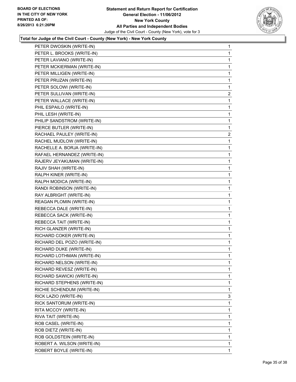

| PETER DWOSKIN (WRITE-IN)     | 1              |
|------------------------------|----------------|
| PETER L. BROOKS (WRITE-IN)   | $\mathbf{1}$   |
| PETER LAVIANO (WRITE-IN)     | 1              |
| PETER MCKIERMAN (WRITE-IN)   | 1              |
| PETER MILLIGEN (WRITE-IN)    | 1              |
| PETER PRUZAN (WRITE-IN)      | 1              |
| PETER SOLOWI (WRITE-IN)      | 1              |
| PETER SULLIVAN (WRITE-IN)    | $\overline{2}$ |
| PETER WALLACE (WRITE-IN)     | 1              |
| PHIL ESPAILO (WRITE-IN)      | 1              |
| PHIL LESH (WRITE-IN)         | 1              |
| PHILIP SANDSTROM (WRITE-IN)  | 1              |
| PIERCE BUTLER (WRITE-IN)     | 1              |
| RACHAEL PAULEY (WRITE-IN)    | $\overline{2}$ |
| RACHEL MUDLOW (WRITE-IN)     | 1              |
| RACHELLE A. BORJA (WRITE-IN) | 1              |
| RAFAEL HERNANDEZ (WRITE-IN)  | 1              |
| RAJERV JEYAKUMAN (WRITE-IN)  | 1              |
| RAJIV SHAH (WRITE-IN)        | 1              |
| RALPH KINER (WRITE-IN)       | 1              |
| RALPH MODICA (WRITE-IN)      | 1              |
| RANDI ROBINSON (WRITE-IN)    | 1              |
| RAY ALBRIGHT (WRITE-IN)      | 1              |
| REAGAN PLOMIN (WRITE-IN)     | 1              |
| REBECCA DALE (WRITE-IN)      | 1              |
| REBECCA SACK (WRITE-IN)      | 1              |
| REBECCA TAIT (WRITE-IN)      | 1              |
| RICH GLANZER (WRITE-IN)      | 1              |
| RICHARD COKER (WRITE-IN)     | 1              |
| RICHARD DEL POZO (WRITE-IN)  | 1              |
| RICHARD DUKE (WRITE-IN)      | 1              |
| RICHARD LOTHMAN (WRITE-IN)   | 1              |
| RICHARD NELSON (WRITE-IN)    | 1              |
| RICHARD REVESZ (WRITE-IN)    | 1              |
| RICHARD SAWICKI (WRITE-IN)   | 1              |
| RICHARD STEPHENS (WRITE-IN)  | 1              |
| RICHIE SCHENDUM (WRITE-IN)   | 1              |
| RICK LAZIO (WRITE-IN)        | 3              |
| RICK SANTORUM (WRITE-IN)     | 1              |
| RITA MCCOY (WRITE-IN)        | 1              |
| RIVA TAIT (WRITE-IN)         | 1              |
| ROB CASEL (WRITE-IN)         | 1              |
| ROB DIETZ (WRITE-IN)         | 1              |
| ROB GOLDSTEIN (WRITE-IN)     | 1              |
| ROBERT A. WILSON (WRITE-IN)  | 1              |
| ROBERT BOYLE (WRITE-IN)      | $\mathbf{1}$   |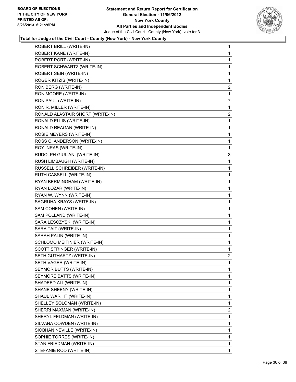

| ROBERT BRILL (WRITE-IN)          | 1              |
|----------------------------------|----------------|
| ROBERT KANE (WRITE-IN)           | 1              |
| ROBERT PORT (WRITE-IN)           | 1              |
| ROBERT SCHWARTZ (WRITE-IN)       | 1              |
| ROBERT SEIN (WRITE-IN)           | 1              |
| ROGER KITZIS (WRITE-IN)          | 1              |
| RON BERG (WRITE-IN)              | $\overline{2}$ |
| RON MOORE (WRITE-IN)             | 1              |
| RON PAUL (WRITE-IN)              | 7              |
| RON R. MILLER (WRITE-IN)         | 1              |
| RONALD ALASTAIR SHORT (WRITE-IN) | $\overline{2}$ |
| RONALD ELLIS (WRITE-IN)          | 1              |
| RONALD REAGAN (WRITE-IN)         | 1              |
| ROSIE MEYERS (WRITE-IN)          | 1              |
| ROSS C. ANDERSON (WRITE-IN)      | 1              |
| ROY INRAS (WRITE-IN)             | 1              |
| RUDOLPH GIULIANI (WRITE-IN)      | 3              |
| RUSH LIMBAUGH (WRITE-IN)         | 1              |
| RUSSELL SCHREIBER (WRITE-IN)     | 1              |
| RUTH CASSELL (WRITE-IN)          | 1              |
| RYAN BERMINGHAM (WRITE-IN)       | 1              |
| RYAN LOZAR (WRITE-IN)            | 1              |
| RYAN W. WYNN (WRITE-IN)          | 1              |
| SAGRUHA KRAYS (WRITE-IN)         | 1              |
| SAM COHEN (WRITE-IN)             | 1              |
| SAM POLLAND (WRITE-IN)           | 1              |
| SARA LESCZYSKI (WRITE-IN)        | 1              |
| SARA TAIT (WRITE-IN)             | 1              |
| SARAH PALIN (WRITE-IN)           | 1              |
| SCHLOMO MEITINIER (WRITE-IN)     | 1              |
| SCOTT STRINGER (WRITE-IN)        | 1              |
| SETH GUTHARTZ (WRITE-IN)         | $\overline{2}$ |
| SETH VAGER (WRITE-IN)            | 1              |
| SEYMOR BUTTS (WRITE-IN)          | 1              |
| SEYMORE BATTS (WRITE-IN)         | 1              |
| SHADEED ALI (WRITE-IN)           | 1              |
| SHANE SHEENY (WRITE-IN)          | 1              |
| SHAUL WARHIT (WRITE-IN)          | 1              |
| SHELLEY SOLOMAN (WRITE-IN)       | 1              |
| SHERRI MAXMAN (WRITE-IN)         | 2              |
| SHERYL FELDMAN (WRITE-IN)        | 1              |
| SILVANA COWDEN (WRITE-IN)        | 1              |
| SIOBHAN NEVILLE (WRITE-IN)       | 1              |
| SOPHIE TORRES (WRITE-IN)         | 1              |
| STAN FRIEDMAN (WRITE-IN)         | 1              |
| STEFANIE ROD (WRITE-IN)          | 1              |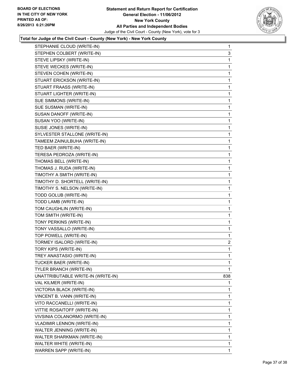

| STEPHANIE CLOUD (WRITE-IN)         | $\mathbf 1$    |
|------------------------------------|----------------|
| STEPHEN COLBERT (WRITE-IN)         | 3              |
| STEVE LIPSKY (WRITE-IN)            | 1              |
| STEVE WECKES (WRITE-IN)            | 1              |
| STEVEN COHEN (WRITE-IN)            | 1              |
| STUART ERICKSON (WRITE-IN)         | 1              |
| STUART FRAASS (WRITE-IN)           | 1              |
| STUART LIGHTER (WRITE-IN)          | 1              |
| SUE SIMMONS (WRITE-IN)             | 1              |
| SUE SUSMAN (WRITE-IN)              | 1              |
| SUSAN DANOFF (WRITE-IN)            | 1              |
| SUSAN YOO (WRITE-IN)               | 1              |
| SUSIE JONES (WRITE-IN)             | 1              |
| SYLVESTER STALLONE (WRITE-IN)      | 1              |
| TAMEEM ZAINULBUHA (WRITE-IN)       | 1              |
| TED BAER (WRITE-IN)                | 1              |
| TERESA PEDROZA (WRITE-IN)          | 1              |
| THOMAS BELL (WRITE-IN)             | 1              |
| THOMAS J. RUDA (WRITE-IN)          | 1              |
| TIMOTHY A SMITH (WRITE-IN)         | 1              |
| TIMOTHY D. SHORTELL (WRITE-IN)     | 1              |
| TIMOTHY S. NELSON (WRITE-IN)       | 1              |
| TODD GOLUB (WRITE-IN)              | 1              |
| TODD LAMB (WRITE-IN)               | 1              |
| TOM CAUGHLIN (WRITE-IN)            | 1              |
| TOM SMITH (WRITE-IN)               | 1              |
| TONY PERKINS (WRITE-IN)            | 1              |
| TONY VASSALLO (WRITE-IN)           | 1              |
| TOP POWELL (WRITE-IN)              | 1              |
| TORMEY ISALORD (WRITE-IN)          | $\overline{2}$ |
| TORY KIPS (WRITE-IN)               | 1              |
| TREY ANASTASIO (WRITE-IN)          | 1              |
| <b>TUCKER BAER (WRITE-IN)</b>      | 1              |
| TYLER BRANCH (WRITE-IN)            | 1              |
| UNATTRIBUTABLE WRITE-IN (WRITE-IN) | 838            |
| VAL KILMER (WRITE-IN)              | 1              |
| VICTORIA BLACK (WRITE-IN)          | 1              |
| VINCENT B. VANN (WRITE-IN)         | 1              |
| VITO RACCANELLI (WRITE-IN)         | 1              |
| VITTIE ROSAITOFF (WRITE-IN)        | 1              |
| VIVSINIA COLANORMO (WRITE-IN)      | 1              |
| <b>VLADIMIR LENNON (WRITE-IN)</b>  | 1              |
| WALTER JENNING (WRITE-IN)          | 1              |
| WALTER SHARKMAN (WRITE-IN)         | 1              |
| WALTER WHITE (WRITE-IN)            | 1              |
| WARREN SAPP (WRITE-IN)             | 1              |